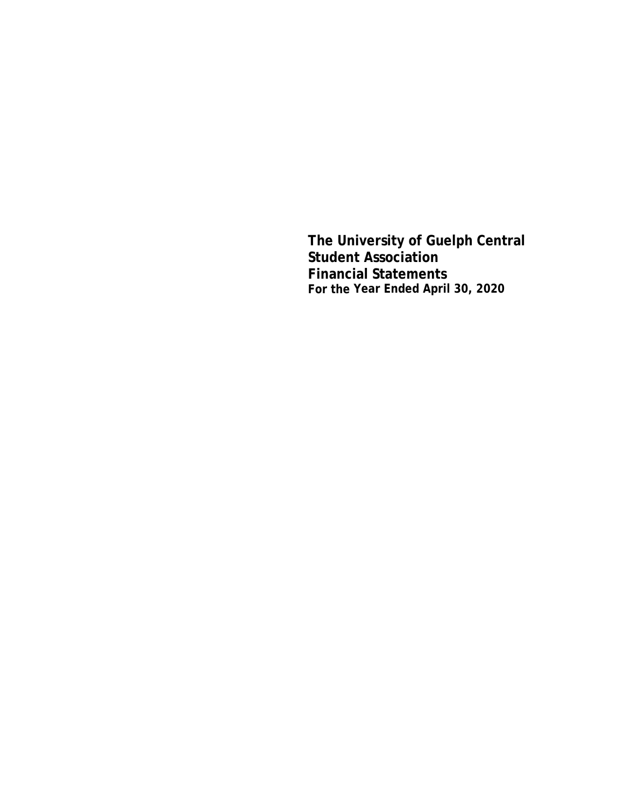**The University of Guelph Central Student Association Financial Statements For the Year Ended April 30, 2020**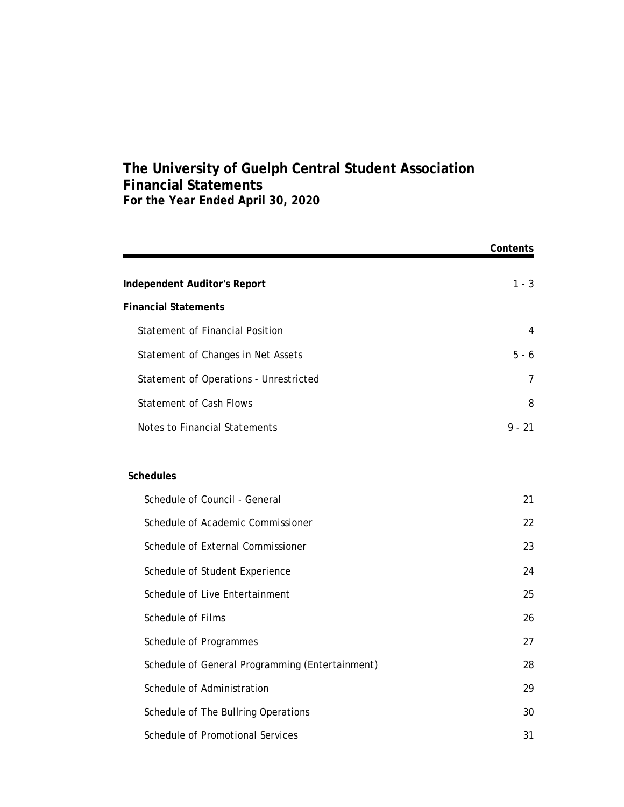## **The University of Guelph Central Student Association Financial Statements For the Year Ended April 30, 2020**

|                                                 | Contents |
|-------------------------------------------------|----------|
| Independent Auditor's Report                    | $1 - 3$  |
| <b>Financial Statements</b>                     |          |
| <b>Statement of Financial Position</b>          | 4        |
| Statement of Changes in Net Assets              | $5 - 6$  |
| Statement of Operations - Unrestricted          | 7        |
| <b>Statement of Cash Flows</b>                  | 8        |
| Notes to Financial Statements                   | $9 - 21$ |
|                                                 |          |
| Schedules                                       |          |
| Schedule of Council - General                   | 21       |
| Schedule of Academic Commissioner               | 22       |
| Schedule of External Commissioner               | 23       |
| Schedule of Student Experience                  | 24       |
| Schedule of Live Entertainment                  | 25       |
| Schedule of Films                               | 26       |
| Schedule of Programmes                          | 27       |
| Schedule of General Programming (Entertainment) | 28       |
| Schedule of Administration                      | 29       |
| Schedule of The Bullring Operations             | 30       |
| Schedule of Promotional Services                | 31       |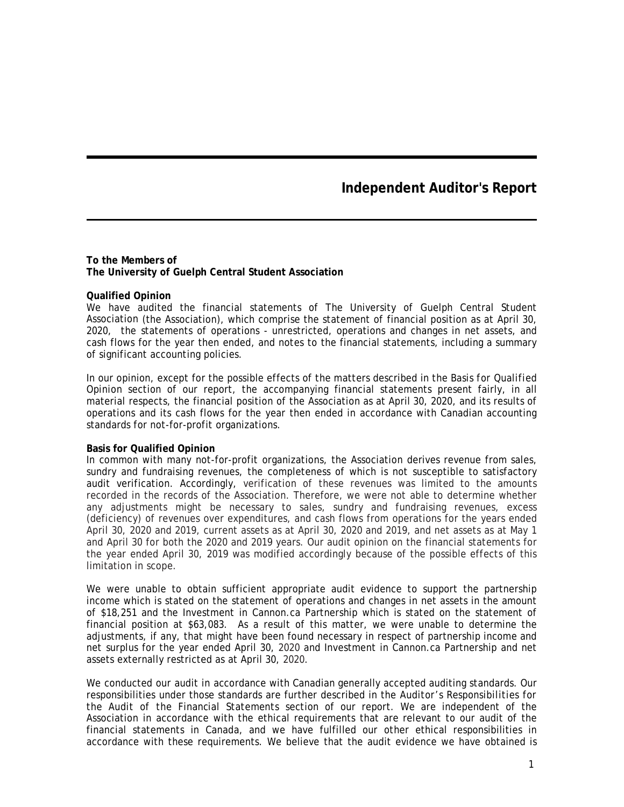**Independent Auditor's Report**

**To the Members of The University of Guelph Central Student Association**

#### **Qualified Opinion**

We have audited the financial statements of The University of Guelph Central Student Association (the Association), which comprise the statement of financial position as at April 30, 2020, the statements of operations - unrestricted, operations and changes in net assets, and cash flows for the year then ended, and notes to the financial statements, including a summary of significant accounting policies.

In our opinion, except for the possible effects of the matters described in the *Basis for Qualified Opinion* section of our report, the accompanying financial statements present fairly, in all material respects, the financial position of the Association as at April 30, 2020, and its results of operations and its cash flows for the year then ended in accordance with Canadian accounting standards for not-for-profit organizations.

#### **Basis for Qualified Opinion**

In common with many not-for-profit organizations, the Association derives revenue from sales, sundry and fundraising revenues, the completeness of which is not susceptible to satisfactory audit verification. Accordingly, verification of these revenues was limited to the amounts recorded in the records of the Association. Therefore, we were not able to determine whether any adjustments might be necessary to sales, sundry and fundraising revenues, excess (deficiency) of revenues over expenditures, and cash flows from operations for the years ended April 30, 2020 and 2019, current assets as at April 30, 2020 and 2019, and net assets as at May 1 and April 30 for both the 2020 and 2019 years. Our audit opinion on the financial statements for the year ended April 30, 2019 was modified accordingly because of the possible effects of this limitation in scope.

We were unable to obtain sufficient appropriate audit evidence to support the partnership income which is stated on the statement of operations and changes in net assets in the amount of \$18,251 and the Investment in Cannon.ca Partnership which is stated on the statement of financial position at \$63,083. As a result of this matter, we were unable to determine the adjustments, if any, that might have been found necessary in respect of partnership income and net surplus for the year ended April 30, 2020 and Investment in Cannon.ca Partnership and net assets externally restricted as at April 30, 2020.

We conducted our audit in accordance with Canadian generally accepted auditing standards. Our responsibilities under those standards are further described in the *Auditor's Responsibilities for the Audit of the Financial Statements* section of our report. We are independent of the Association in accordance with the ethical requirements that are relevant to our audit of the financial statements in Canada, and we have fulfilled our other ethical responsibilities in accordance with these requirements. We believe that the audit evidence we have obtained is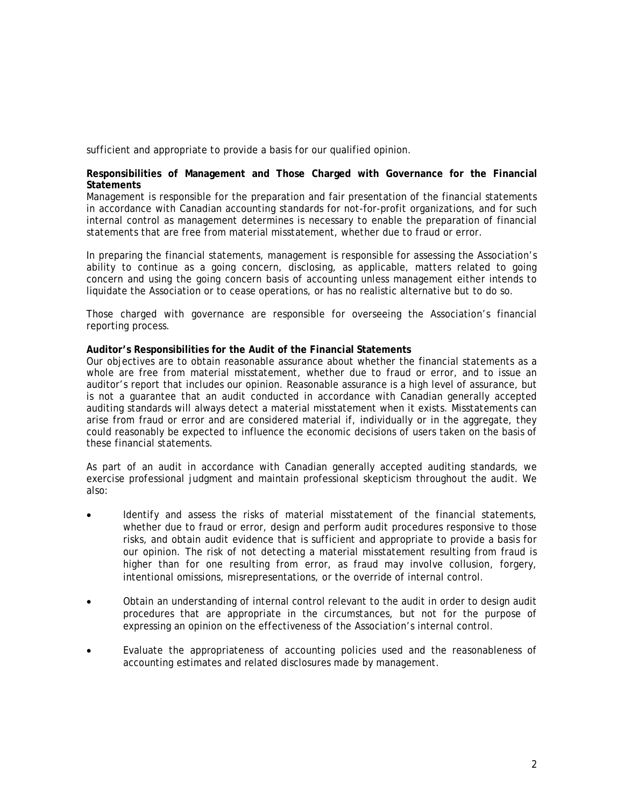sufficient and appropriate to provide a basis for our qualified opinion.

**Responsibilities of Management and Those Charged with Governance for the Financial Statements**

Management is responsible for the preparation and fair presentation of the financial statements in accordance with Canadian accounting standards for not-for-profit organizations, and for such internal control as management determines is necessary to enable the preparation of financial statements that are free from material misstatement, whether due to fraud or error.

In preparing the financial statements, management is responsible for assessing the Association's ability to continue as a going concern, disclosing, as applicable, matters related to going concern and using the going concern basis of accounting unless management either intends to liquidate the Association or to cease operations, or has no realistic alternative but to do so.

Those charged with governance are responsible for overseeing the Association's financial reporting process.

**Auditor's Responsibilities for the Audit of the Financial Statements**

Our objectives are to obtain reasonable assurance about whether the financial statements as a whole are free from material misstatement, whether due to fraud or error, and to issue an auditor's report that includes our opinion. Reasonable assurance is a high level of assurance, but is not a guarantee that an audit conducted in accordance with Canadian generally accepted auditing standards will always detect a material misstatement when it exists. Misstatements can arise from fraud or error and are considered material if, individually or in the aggregate, they could reasonably be expected to influence the economic decisions of users taken on the basis of these financial statements.

As part of an audit in accordance with Canadian generally accepted auditing standards, we exercise professional judgment and maintain professional skepticism throughout the audit. We also:

- Identify and assess the risks of material misstatement of the financial statements, whether due to fraud or error, design and perform audit procedures responsive to those risks, and obtain audit evidence that is sufficient and appropriate to provide a basis for our opinion. The risk of not detecting a material misstatement resulting from fraud is higher than for one resulting from error, as fraud may involve collusion, forgery, intentional omissions, misrepresentations, or the override of internal control.
- · Obtain an understanding of internal control relevant to the audit in order to design audit procedures that are appropriate in the circumstances, but not for the purpose of expressing an opinion on the effectiveness of the Association's internal control.
- · Evaluate the appropriateness of accounting policies used and the reasonableness of accounting estimates and related disclosures made by management.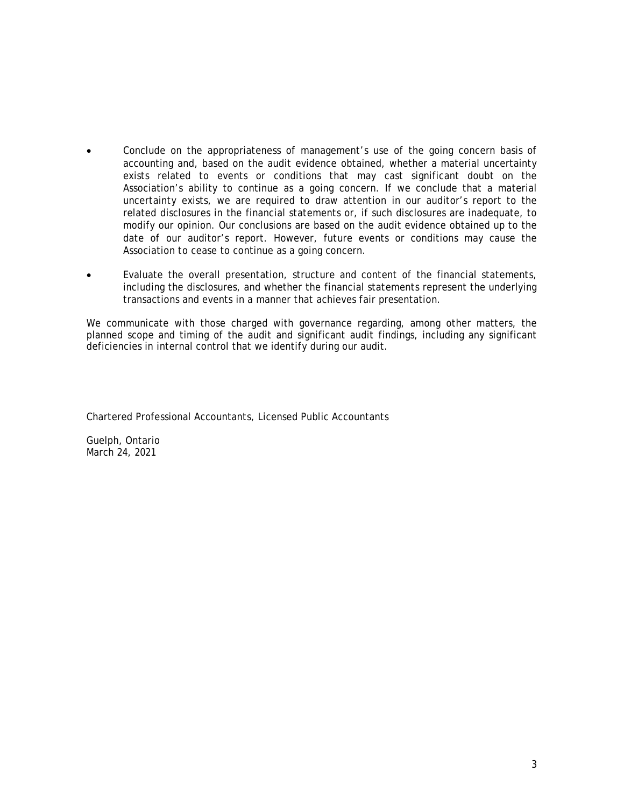- · Conclude on the appropriateness of management's use of the going concern basis of accounting and, based on the audit evidence obtained, whether a material uncertainty exists related to events or conditions that may cast significant doubt on the Association's ability to continue as a going concern. If we conclude that a material uncertainty exists, we are required to draw attention in our auditor's report to the related disclosures in the financial statements or, if such disclosures are inadequate, to modify our opinion. Our conclusions are based on the audit evidence obtained up to the date of our auditor's report. However, future events or conditions may cause the Association to cease to continue as a going concern.
- · Evaluate the overall presentation, structure and content of the financial statements, including the disclosures, and whether the financial statements represent the underlying transactions and events in a manner that achieves fair presentation.

We communicate with those charged with governance regarding, among other matters, the planned scope and timing of the audit and significant audit findings, including any significant deficiencies in internal control that we identify during our audit.

Chartered Professional Accountants, Licensed Public Accountants

Guelph, Ontario March 24, 2021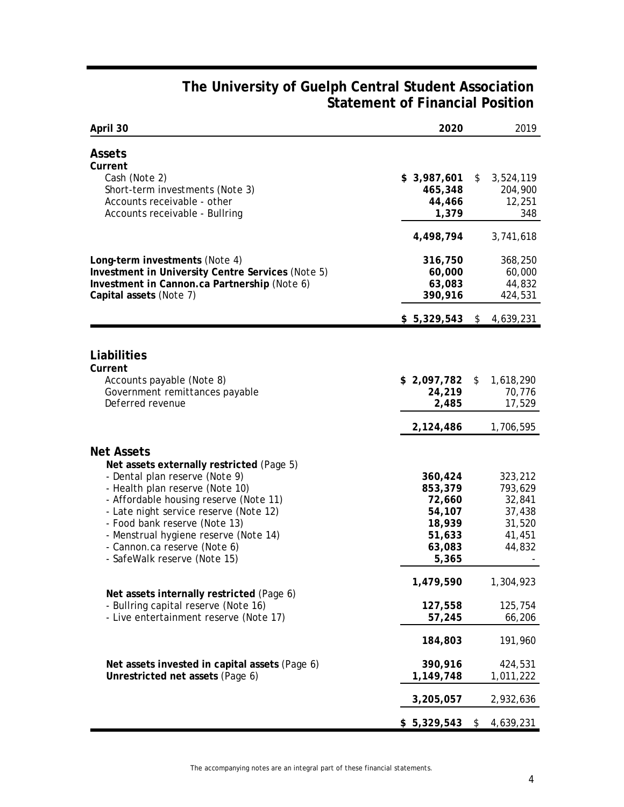| April 30                                                                                                                                                                                                                                                                                                                                                   | 2020                                                                          | 2019                                                                 |
|------------------------------------------------------------------------------------------------------------------------------------------------------------------------------------------------------------------------------------------------------------------------------------------------------------------------------------------------------------|-------------------------------------------------------------------------------|----------------------------------------------------------------------|
| Assets<br>Current<br>Cash (Note 2)<br>Short-term investments (Note 3)<br>Accounts receivable - other<br>Accounts receivable - Bullring                                                                                                                                                                                                                     | \$3,987,601<br>465,348<br>44,466<br>1,379                                     | \$<br>3,524,119<br>204,900<br>12,251<br>348                          |
|                                                                                                                                                                                                                                                                                                                                                            | 4,498,794                                                                     | 3,741,618                                                            |
| Long-term investments (Note 4)<br>Investment in University Centre Services (Note 5)<br>Investment in Cannon.ca Partnership (Note 6)<br>Capital assets (Note 7)                                                                                                                                                                                             | 316,750<br>60,000<br>63,083<br>390,916                                        | 368,250<br>60,000<br>44,832<br>424,531                               |
|                                                                                                                                                                                                                                                                                                                                                            | \$5,329,543                                                                   | \$<br>4,639,231                                                      |
| Liabilities<br>Current<br>Accounts payable (Note 8)<br>Government remittances payable<br>Deferred revenue                                                                                                                                                                                                                                                  | \$2,097,782<br>24,219<br>2,485                                                | \$<br>1,618,290<br>70,776<br>17,529                                  |
|                                                                                                                                                                                                                                                                                                                                                            | 2,124,486                                                                     | 1,706,595                                                            |
| Net Assets<br>Net assets externally restricted (Page 5)<br>- Dental plan reserve (Note 9)<br>- Health plan reserve (Note 10)<br>- Affordable housing reserve (Note 11)<br>- Late night service reserve (Note 12)<br>- Food bank reserve (Note 13)<br>- Menstrual hygiene reserve (Note 14)<br>- Cannon.ca reserve (Note 6)<br>- SafeWalk reserve (Note 15) | 360,424<br>853,379<br>72,660<br>54,107<br>18,939<br>51,633<br>63,083<br>5,365 | 323,212<br>793,629<br>32,841<br>37,438<br>31,520<br>41,451<br>44,832 |
| Net assets internally restricted (Page 6)<br>- Bullring capital reserve (Note 16)<br>- Live entertainment reserve (Note 17)                                                                                                                                                                                                                                | 1,479,590<br>127,558<br>57,245                                                | 1,304,923<br>125,754<br>66,206                                       |
| Net assets invested in capital assets (Page 6)<br>Unrestricted net assets (Page 6)                                                                                                                                                                                                                                                                         | 184,803<br>390,916<br>1,149,748                                               | 191,960<br>424,531<br>1,011,222                                      |
|                                                                                                                                                                                                                                                                                                                                                            | 3,205,057                                                                     | 2,932,636                                                            |
|                                                                                                                                                                                                                                                                                                                                                            | \$5,329,543                                                                   | \$<br>4,639,231                                                      |

## **The University of Guelph Central Student Association Statement of Financial Position**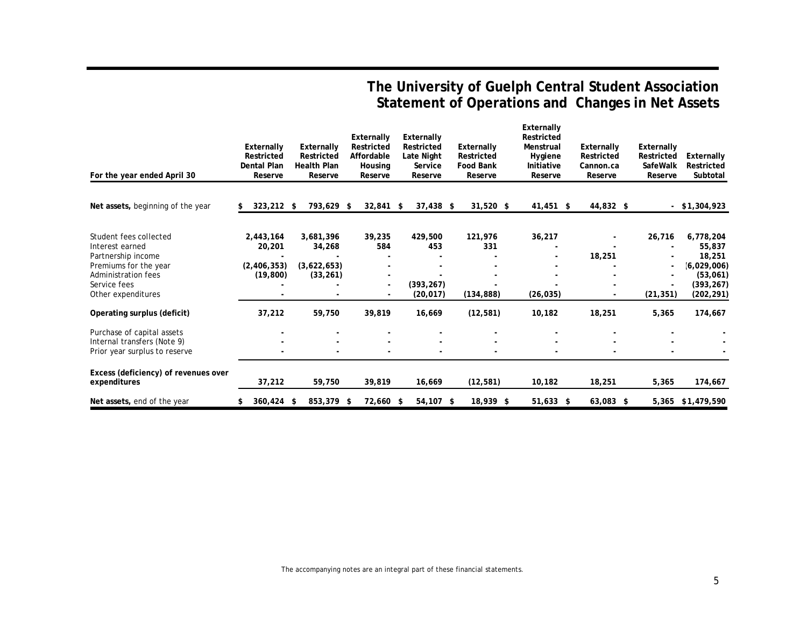## **The University of Guelph Central Student Association Statement of Operations and Changes in Net Assets**

| For the year ended April 30                                                                                                                           | Externally<br>Restricted<br>Dental Plan<br>Reserve | Externally<br>Restricted<br>Health Plan<br>Reserve | Externally<br>Restricted<br>Affordable<br>Housing<br>Reserve | Externally<br>Restricted<br>Late Night<br>Service<br>Reserve | Externally<br>Restricted<br>Food Bank<br>Reserve | Externally<br>Restricted<br>Menstrual<br>Hygiene<br>Initiative<br>Reserve | Externally<br>Restricted<br>Cannon.ca<br>Reserve | Externally<br>Restricted<br>SafeWalk<br>Reserve | Externally<br>Restricted<br>Subtotal                                                 |
|-------------------------------------------------------------------------------------------------------------------------------------------------------|----------------------------------------------------|----------------------------------------------------|--------------------------------------------------------------|--------------------------------------------------------------|--------------------------------------------------|---------------------------------------------------------------------------|--------------------------------------------------|-------------------------------------------------|--------------------------------------------------------------------------------------|
| Net assets, beginning of the year                                                                                                                     | 323,212 \$                                         | 793,629 \$                                         | 32,841                                                       | $37,438$ \$<br>\$                                            | $31,520$ \$                                      | $41,451$ \$                                                               | 44,832 \$                                        |                                                 | $-$ \$1,304,923                                                                      |
| Student fees collected<br>Interest earned<br>Partnership income<br>Premiums for the year<br>Administration fees<br>Service fees<br>Other expenditures | 2.443.164<br>20,201<br>(2, 406, 353)<br>(19, 800)  | 3.681.396<br>34,268<br>(3,622,653)<br>(33, 261)    | 39,235<br>584<br>$\overline{\phantom{a}}$                    | 429,500<br>453<br>(393, 267)<br>(20, 017)                    | 121,976<br>331<br>(134, 888)                     | 36,217<br>(26, 035)                                                       | 18,251                                           | 26,716<br>$\sim$<br>(21, 351)                   | 6,778,204<br>55,837<br>18,251<br>(6,029,006)<br>(53,061)<br>(393, 267)<br>(202, 291) |
| Operating surplus (deficit)                                                                                                                           | 37,212                                             | 59,750                                             | 39,819                                                       | 16,669                                                       | (12, 581)                                        | 10,182                                                                    | 18,251                                           | 5,365                                           | 174,667                                                                              |
| Purchase of capital assets<br>Internal transfers (Note 9)<br>Prior year surplus to reserve                                                            |                                                    |                                                    |                                                              |                                                              |                                                  |                                                                           |                                                  |                                                 |                                                                                      |
| Excess (deficiency) of revenues over<br>expenditures                                                                                                  | 37,212                                             | 59,750                                             | 39,819                                                       | 16,669                                                       | (12, 581)                                        | 10,182                                                                    | 18,251                                           | 5,365                                           | 174,667                                                                              |
| Net assets, end of the year                                                                                                                           | $360,424$ \$                                       | 853,379 \$                                         | 72,660                                                       | 54,107 \$<br>\$                                              | 18,939 \$                                        | $51,633$ \$                                                               | $63,083$ \$                                      |                                                 | 5,365 \$1,479,590                                                                    |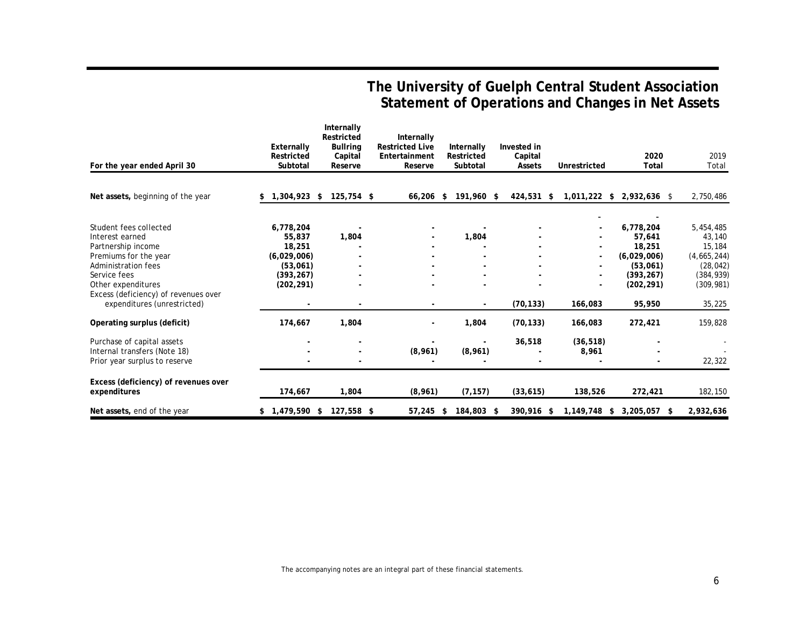## **The University of Guelph Central Student Association Statement of Operations and Changes in Net Assets**

| For the year ended April 30                                                                                                                                                                                                  | Externally<br>Restricted<br>Subtotal                                                 | Internally<br>Restricted<br><b>Bullring</b><br>Capital<br>Reserve | Internally<br><b>Restricted Live</b><br>Entertainment<br>Reserve | Internally<br>Restricted<br>Subtotal | Invested in<br>Capital<br>Assets | Unrestricted       | 2020<br>Total                                                                                  | 2019<br>Total                                                                                   |
|------------------------------------------------------------------------------------------------------------------------------------------------------------------------------------------------------------------------------|--------------------------------------------------------------------------------------|-------------------------------------------------------------------|------------------------------------------------------------------|--------------------------------------|----------------------------------|--------------------|------------------------------------------------------------------------------------------------|-------------------------------------------------------------------------------------------------|
| Net assets, beginning of the year                                                                                                                                                                                            | 1,304,923<br>S.                                                                      | $125,754$ \$<br>\$                                                | 66,206                                                           | \$<br>191.960 \$                     | 424,531 \$                       |                    | 1,011,222 \$ 2,932,636 \$                                                                      | 2,750,486                                                                                       |
| Student fees collected<br>Interest earned<br>Partnership income<br>Premiums for the year<br>Administration fees<br>Service fees<br>Other expenditures<br>Excess (deficiency) of revenues over<br>expenditures (unrestricted) | 6,778,204<br>55,837<br>18,251<br>(6,029,006)<br>(53,061)<br>(393, 267)<br>(202, 291) | 1,804                                                             |                                                                  | 1,804<br>$\overline{\phantom{a}}$    | (70, 133)                        | $\sim$<br>166,083  | 6,778,204<br>57,641<br>18.251<br>(6,029,006)<br>(53,061)<br>(393, 267)<br>(202, 291)<br>95,950 | 5,454,485<br>43,140<br>15,184<br>(4,665,244)<br>(28, 042)<br>(384, 939)<br>(309, 981)<br>35,225 |
| Operating surplus (deficit)                                                                                                                                                                                                  | 174,667                                                                              | 1,804                                                             | $\overline{\phantom{a}}$                                         | 1,804                                | (70, 133)                        | 166,083            | 272,421                                                                                        | 159,828                                                                                         |
| Purchase of capital assets<br>Internal transfers (Note 18)<br>Prior year surplus to reserve                                                                                                                                  |                                                                                      |                                                                   | (8,961)                                                          | (8,961)                              | 36,518                           | (36, 518)<br>8,961 |                                                                                                | 22,322                                                                                          |
| Excess (deficiency) of revenues over<br>expenditures                                                                                                                                                                         | 174,667                                                                              | 1,804                                                             | (8,961)                                                          | (7, 157)                             | (33, 615)                        | 138,526            | 272,421                                                                                        | 182,150                                                                                         |
| Net assets, end of the year                                                                                                                                                                                                  | $$1,479,590$ \$                                                                      | 127,558 \$                                                        | $57,245$ \$                                                      | 184,803 \$                           | 390,916 \$                       |                    | 1,149,748 \$ 3,205,057 \$                                                                      | 2,932,636                                                                                       |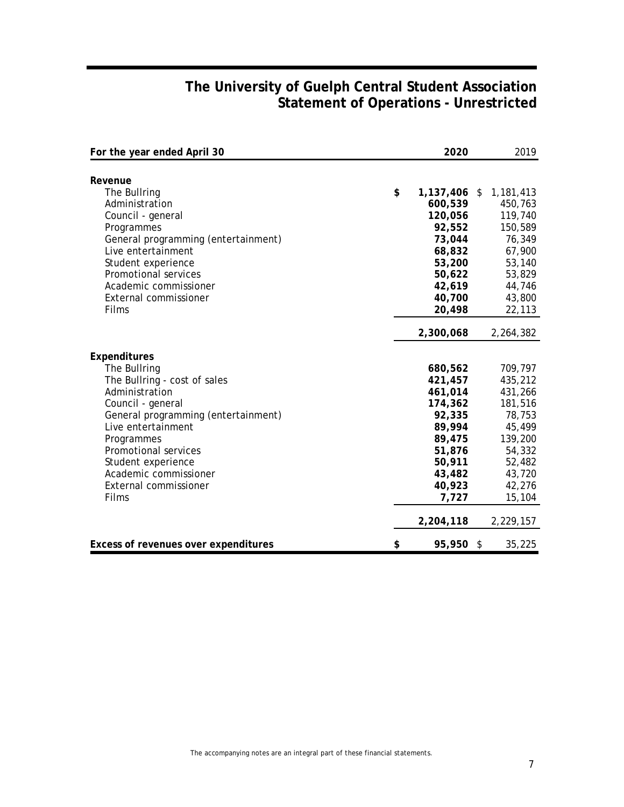### **The University of Guelph Central Student Association Statement of Operations - Unrestricted**

| For the year ended April 30          | 2020                 | 2019         |
|--------------------------------------|----------------------|--------------|
|                                      |                      |              |
| Revenue                              |                      |              |
| The Bullring                         | \$<br>$1,137,406$ \$ | 1,181,413    |
| Administration                       | 600,539              | 450,763      |
| Council - general                    | 120,056              | 119,740      |
| Programmes                           | 92,552               | 150,589      |
| General programming (entertainment)  | 73,044               | 76,349       |
| Live entertainment                   | 68,832               | 67,900       |
| Student experience                   | 53,200               | 53,140       |
| Promotional services                 | 50,622               | 53,829       |
| Academic commissioner                | 42,619               | 44,746       |
| External commissioner                | 40,700               | 43,800       |
| Films                                | 20,498               | 22,113       |
|                                      | 2,300,068            | 2,264,382    |
| Expenditures                         |                      |              |
| The Bullring                         | 680,562              | 709,797      |
| The Bullring - cost of sales         | 421,457              | 435,212      |
| Administration                       | 461,014              | 431,266      |
| Council - general                    | 174,362              | 181,516      |
| General programming (entertainment)  | 92,335               | 78,753       |
| Live entertainment                   | 89,994               | 45,499       |
| Programmes                           | 89,475               | 139,200      |
| Promotional services                 | 51,876               | 54,332       |
| Student experience                   | 50,911               | 52,482       |
| Academic commissioner                | 43,482               | 43,720       |
| External commissioner                | 40,923               | 42,276       |
| Films                                | 7,727                | 15,104       |
|                                      | 2,204,118            | 2,229,157    |
|                                      |                      |              |
| Excess of revenues over expenditures | \$<br>95,950         | \$<br>35,225 |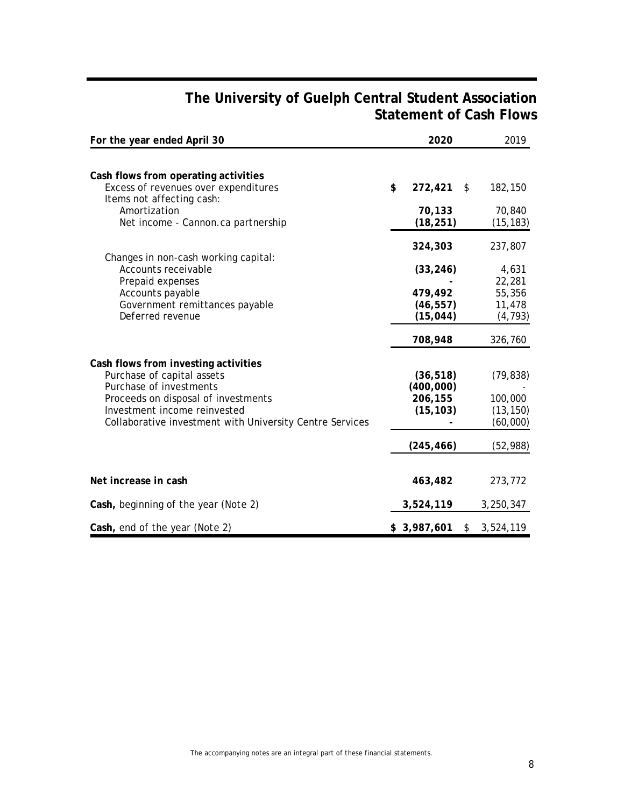| For the year ended April 30                                                                                                                                                                                                      | 2020                                           | 2019                                           |
|----------------------------------------------------------------------------------------------------------------------------------------------------------------------------------------------------------------------------------|------------------------------------------------|------------------------------------------------|
|                                                                                                                                                                                                                                  |                                                |                                                |
| Cash flows from operating activities<br>Excess of revenues over expenditures<br>Items not affecting cash:                                                                                                                        | \$<br>272,421<br>\$                            | 182,150                                        |
| Amortization<br>Net income - Cannon.ca partnership                                                                                                                                                                               | 70,133<br>(18, 251)                            | 70,840<br>(15, 183)                            |
| Changes in non-cash working capital:                                                                                                                                                                                             | 324,303                                        | 237,807                                        |
| Accounts receivable<br>Prepaid expenses                                                                                                                                                                                          | (33, 246)                                      | 4,631<br>22,281                                |
| Accounts payable<br>Government remittances payable<br>Deferred revenue                                                                                                                                                           | 479,492<br>(46, 557)<br>(15, 044)              | 55,356<br>11,478<br>(4, 793)                   |
|                                                                                                                                                                                                                                  | 708,948                                        | 326,760                                        |
| Cash flows from investing activities<br>Purchase of capital assets<br>Purchase of investments<br>Proceeds on disposal of investments<br>Investment income reinvested<br>Collaborative investment with University Centre Services | (36, 518)<br>(400,000)<br>206,155<br>(15, 103) | (79, 838)<br>100,000<br>(13, 150)<br>(60, 000) |
|                                                                                                                                                                                                                                  | (245, 466)                                     | (52, 988)                                      |
| Net increase in cash                                                                                                                                                                                                             | 463,482                                        | 273,772                                        |
| Cash, beginning of the year (Note 2)                                                                                                                                                                                             | 3,524,119                                      | 3,250,347                                      |
| Cash, end of the year (Note 2)                                                                                                                                                                                                   | \$ 3,987,601<br>\$                             | 3,524,119                                      |

# **The University of Guelph Central Student Association Statement of Cash Flows**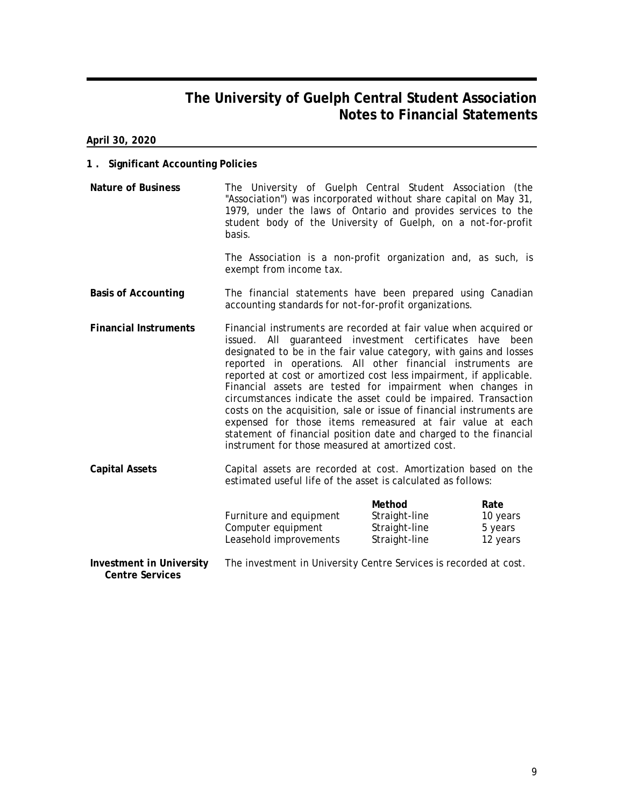**April 30, 2020**

#### **1 . Significant Accounting Policies**

**Nature of Business** The University of Guelph Central Student Association (the "Association") was incorporated without share capital on May 31, 1979, under the laws of Ontario and provides services to the student body of the University of Guelph, on a not-for-profit basis.

> The Association is a non-profit organization and, as such, is exempt from income tax.

- **Basis of Accounting** The financial statements have been prepared using Canadian accounting standards for not-for-profit organizations.
- **Financial Instruments** Financial instruments are recorded at fair value when acquired or issued. All guaranteed investment certificates have been designated to be in the fair value category, with gains and losses reported in operations. All other financial instruments are reported at cost or amortized cost less impairment, if applicable. Financial assets are tested for impairment when changes in circumstances indicate the asset could be impaired. Transaction costs on the acquisition, sale or issue of financial instruments are expensed for those items remeasured at fair value at each statement of financial position date and charged to the financial instrument for those measured at amortized cost.
- **Capital Assets** Capital assets are recorded at cost. Amortization based on the estimated useful life of the asset is calculated as follows:

|                         | Method        | Rate     |
|-------------------------|---------------|----------|
| Furniture and equipment | Straight-line | 10 years |
| Computer equipment      | Straight-line | 5 years  |
| Leasehold improvements  | Straight-line | 12 years |
|                         |               |          |
|                         |               |          |

**Investment in University Centre Services** The investment in University Centre Services is recorded at cost.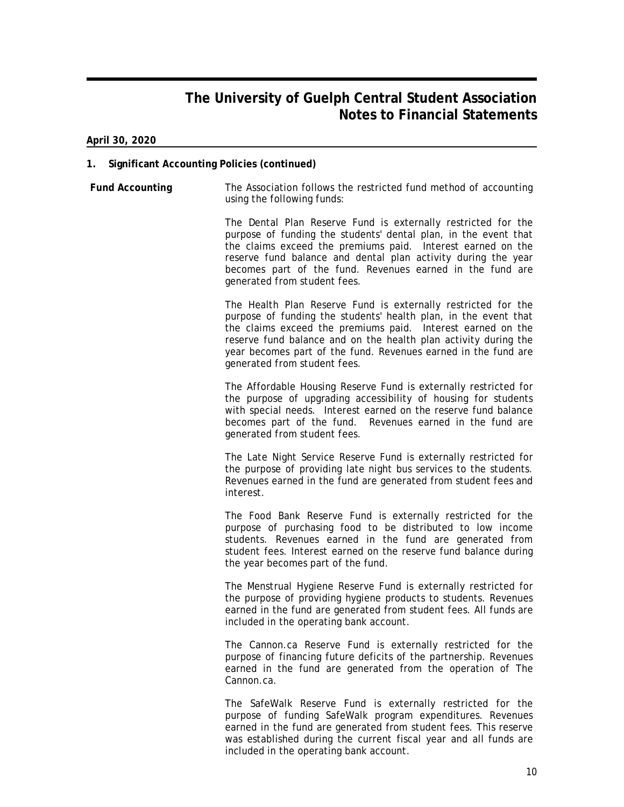**April 30, 2020**

### **1. Significant Accounting Policies (continued)**

| Fund Accounting | The Association follows the restricted fund method of accounting<br>using the following funds:                                                                                                                                                                                                                                                                       |
|-----------------|----------------------------------------------------------------------------------------------------------------------------------------------------------------------------------------------------------------------------------------------------------------------------------------------------------------------------------------------------------------------|
|                 | The Dental Plan Reserve Fund is externally restricted for the<br>purpose of funding the students' dental plan, in the event that<br>the claims exceed the premiums paid. Interest earned on the<br>reserve fund balance and dental plan activity during the year<br>becomes part of the fund. Revenues earned in the fund are<br>generated from student fees.        |
|                 | The Health Plan Reserve Fund is externally restricted for the<br>purpose of funding the students' health plan, in the event that<br>the claims exceed the premiums paid. Interest earned on the<br>reserve fund balance and on the health plan activity during the<br>year becomes part of the fund. Revenues earned in the fund are<br>generated from student fees. |
|                 | The Affordable Housing Reserve Fund is externally restricted for<br>the purpose of upgrading accessibility of housing for students<br>with special needs. Interest earned on the reserve fund balance<br>becomes part of the fund. Revenues earned in the fund are<br>generated from student fees.                                                                   |
|                 | The Late Night Service Reserve Fund is externally restricted for<br>the purpose of providing late night bus services to the students.<br>Revenues earned in the fund are generated from student fees and<br>interest.                                                                                                                                                |
|                 | The Food Bank Reserve Fund is externally restricted for the<br>purpose of purchasing food to be distributed to low income<br>students. Revenues earned in the fund are generated from<br>student fees. Interest earned on the reserve fund balance during<br>the year becomes part of the fund.                                                                      |
|                 | The Menstrual Hygiene Reserve Fund is externally restricted for<br>the purpose of providing hygiene products to students. Revenues<br>earned in the fund are generated from student fees. All funds are<br>included in the operating bank account.                                                                                                                   |
|                 | The Cannon.ca Reserve Fund is externally restricted for the<br>purpose of financing future deficits of the partnership. Revenues<br>earned in the fund are generated from the operation of The<br>Cannon.ca.                                                                                                                                                         |
|                 | The SafeWalk Reserve Fund is externally restricted for the<br>purpose of funding SafeWalk program expenditures. Revenues<br>earned in the fund are generated from student fees. This reserve                                                                                                                                                                         |

was established during the current fiscal year and all funds are

included in the operating bank account.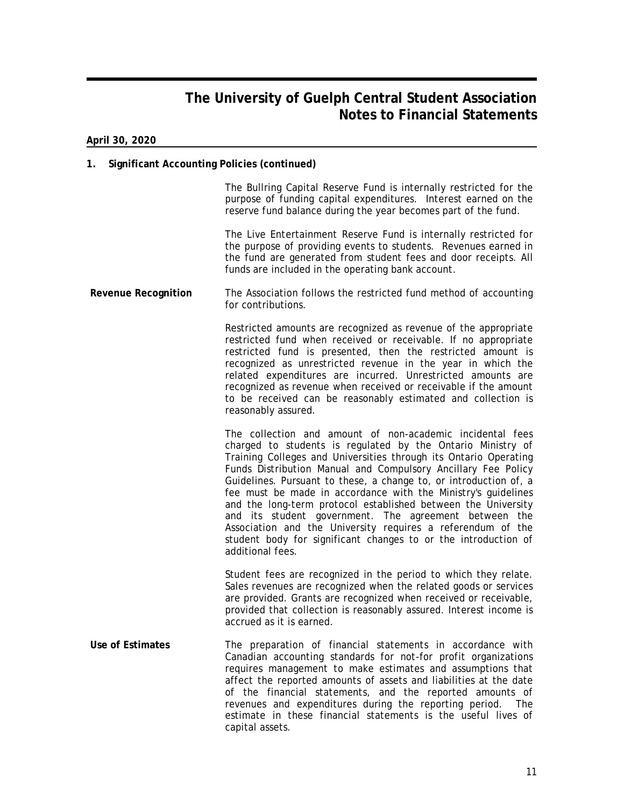**April 30, 2020**

#### **1. Significant Accounting Policies (continued)**

The Bullring Capital Reserve Fund is internally restricted for the purpose of funding capital expenditures. Interest earned on the reserve fund balance during the year becomes part of the fund.

The Live Entertainment Reserve Fund is internally restricted for the purpose of providing events to students. Revenues earned in the fund are generated from student fees and door receipts. All funds are included in the operating bank account.

**Revenue Recognition** The Association follows the restricted fund method of accounting for contributions.

> Restricted amounts are recognized as revenue of the appropriate restricted fund when received or receivable. If no appropriate restricted fund is presented, then the restricted amount is recognized as unrestricted revenue in the year in which the related expenditures are incurred. Unrestricted amounts are recognized as revenue when received or receivable if the amount to be received can be reasonably estimated and collection is reasonably assured.

> The collection and amount of non-academic incidental fees charged to students is regulated by the Ontario Ministry of Training Colleges and Universities through its Ontario Operating Funds Distribution Manual and Compulsory Ancillary Fee Policy Guidelines. Pursuant to these, a change to, or introduction of, a fee must be made in accordance with the Ministry's guidelines and the long-term protocol established between the University and its student government. The agreement between the Association and the University requires a referendum of the student body for significant changes to or the introduction of additional fees.

> Student fees are recognized in the period to which they relate. Sales revenues are recognized when the related goods or services are provided. Grants are recognized when received or receivable, provided that collection is reasonably assured. Interest income is accrued as it is earned.

**Use of Estimates** The preparation of financial statements in accordance with Canadian accounting standards for not-for profit organizations requires management to make estimates and assumptions that affect the reported amounts of assets and liabilities at the date of the financial statements, and the reported amounts of revenues and expenditures during the reporting period. The estimate in these financial statements is the useful lives of capital assets.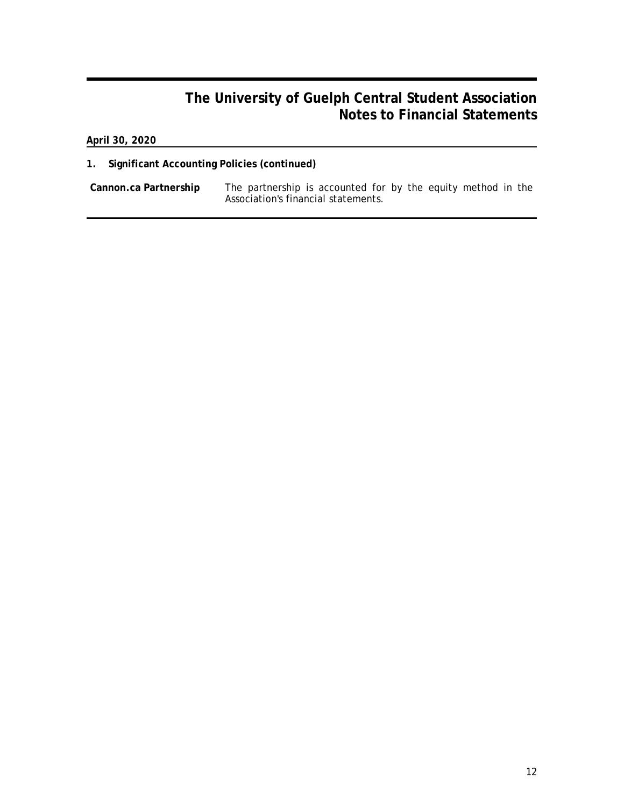**April 30, 2020**

**1. Significant Accounting Policies (continued)**

**Cannon.ca Partnership** The partnership is accounted for by the equity method in the Association's financial statements.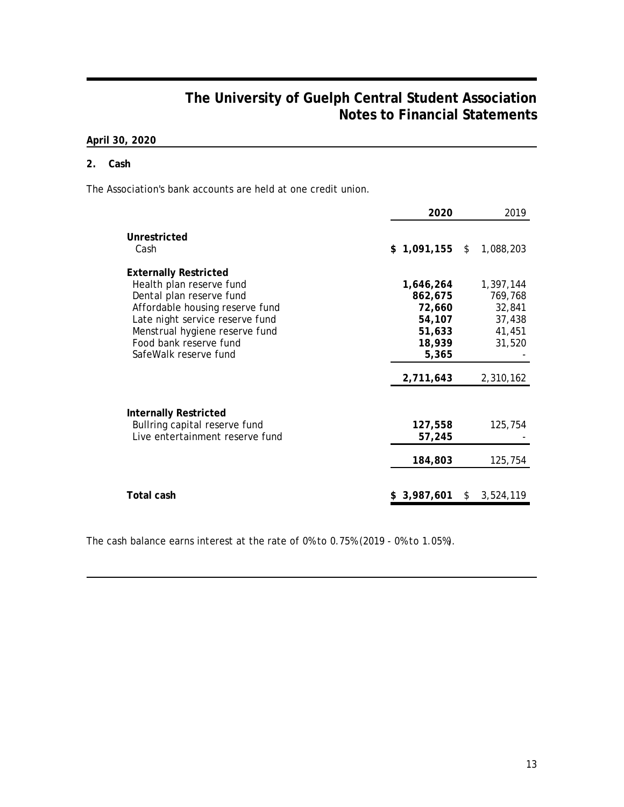#### **April 30, 2020**

### **2. Cash**

The Association's bank accounts are held at one credit union.

|                                                                                                                                                                                                                                                 | 2020                                                                  | 2019 |                                                              |
|-------------------------------------------------------------------------------------------------------------------------------------------------------------------------------------------------------------------------------------------------|-----------------------------------------------------------------------|------|--------------------------------------------------------------|
| Unrestricted<br>Cash                                                                                                                                                                                                                            | $$1,091,155$ \$                                                       |      | 1,088,203                                                    |
| <b>Externally Restricted</b><br>Health plan reserve fund<br>Dental plan reserve fund<br>Affordable housing reserve fund<br>Late night service reserve fund<br>Menstrual hygiene reserve fund<br>Food bank reserve fund<br>SafeWalk reserve fund | 1,646,264<br>862,675<br>72,660<br>54,107<br>51,633<br>18,939<br>5,365 |      | 1,397,144<br>769,768<br>32,841<br>37,438<br>41,451<br>31,520 |
|                                                                                                                                                                                                                                                 | 2,711,643                                                             |      | 2,310,162                                                    |
| <b>Internally Restricted</b><br>Bullring capital reserve fund<br>Live entertainment reserve fund                                                                                                                                                | 127,558<br>57,245                                                     |      | 125,754                                                      |
|                                                                                                                                                                                                                                                 | 184,803                                                               |      | 125,754                                                      |
| Total cash                                                                                                                                                                                                                                      | \$3,987,601                                                           | \$   | 3,524,119                                                    |

The cash balance earns interest at the rate of 0% to 0.75% (2019 - 0% to 1.05%).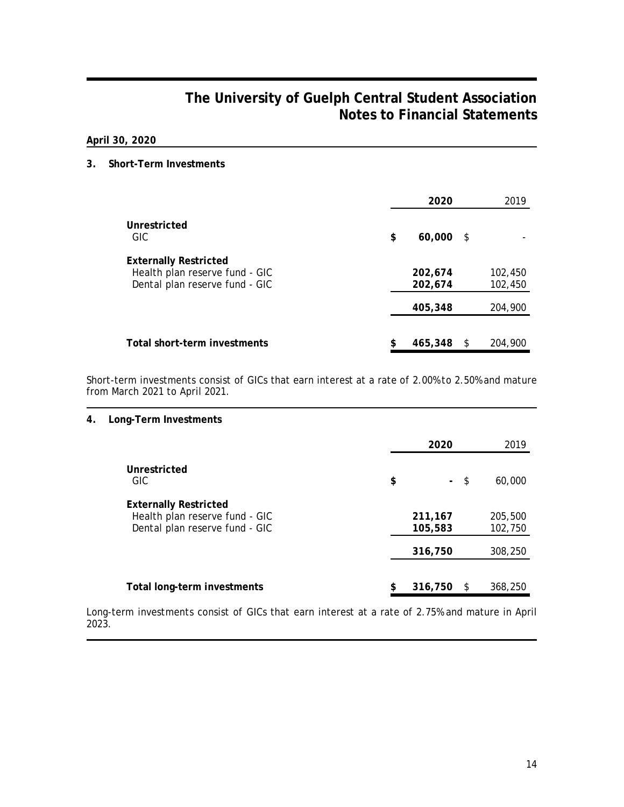#### **April 30, 2020**

#### **3. Short-Term Investments**

|                                                                                                  | 2020               |     | 2019               |
|--------------------------------------------------------------------------------------------------|--------------------|-----|--------------------|
| Unrestricted<br><b>GIC</b>                                                                       | \$<br>60,000       | -\$ |                    |
| <b>Externally Restricted</b><br>Health plan reserve fund - GIC<br>Dental plan reserve fund - GIC | 202,674<br>202,674 |     | 102,450<br>102,450 |
|                                                                                                  | 405,348            |     | 204,900            |
| Total short-term investments                                                                     | 465,348            | \$  | 204,900            |
|                                                                                                  |                    |     |                    |

Short-term investments consist of GICs that earn interest at a rate of 2.00% to 2.50% and mature from March 2021 to April 2021.

#### **4. Long-Term Investments**

|                                                                                                  | 2020               |   | 2019               |
|--------------------------------------------------------------------------------------------------|--------------------|---|--------------------|
|                                                                                                  |                    |   |                    |
| Unrestricted<br>GIC.                                                                             | \$                 | S | 60,000             |
| <b>Externally Restricted</b><br>Health plan reserve fund - GIC<br>Dental plan reserve fund - GIC | 211,167<br>105,583 |   | 205,500<br>102,750 |
|                                                                                                  | 316,750            |   | 308,250            |
|                                                                                                  |                    |   |                    |
| Total long-term investments                                                                      | \$<br>316,750      | S | 368,250            |

Long-term investments consist of GICs that earn interest at a rate of 2.75% and mature in April 2023.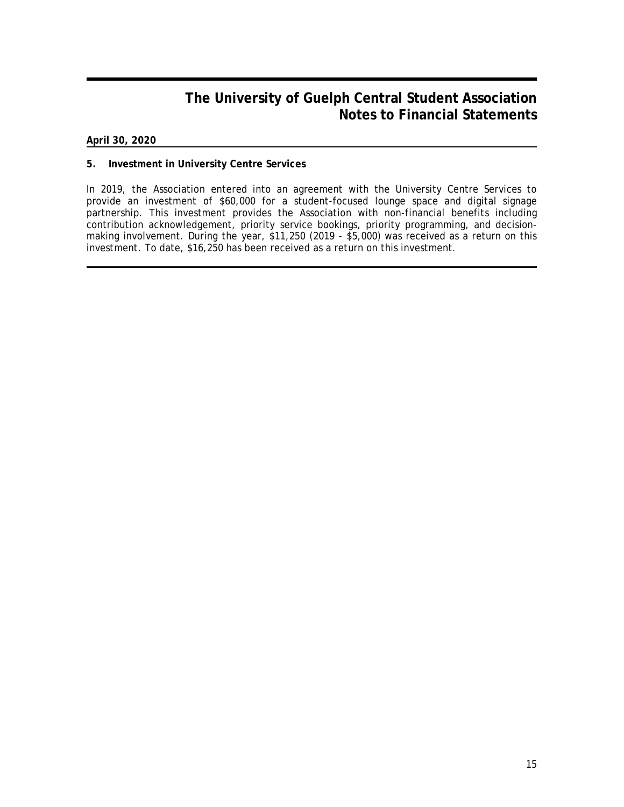**April 30, 2020**

#### **5. Investment in University Centre Services**

In 2019, the Association entered into an agreement with the University Centre Services to provide an investment of \$60,000 for a student-focused lounge space and digital signage partnership. This investment provides the Association with non-financial benefits including contribution acknowledgement, priority service bookings, priority programming, and decisionmaking involvement. During the year, \$11,250 (2019 - \$5,000) was received as a return on this investment. To date, \$16,250 has been received as a return on this investment.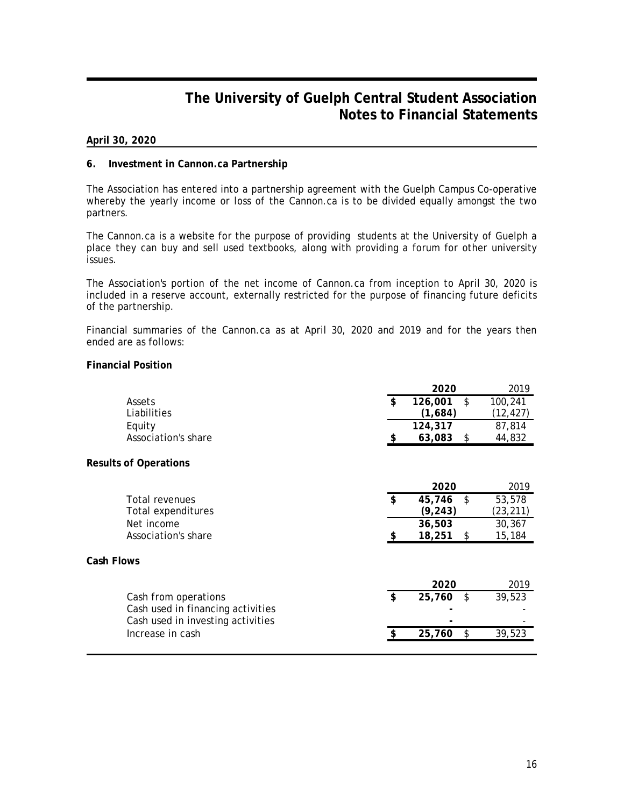**April 30, 2020**

#### **6. Investment in Cannon.ca Partnership**

The Association has entered into a partnership agreement with the Guelph Campus Co-operative whereby the yearly income or loss of the Cannon.ca is to be divided equally amongst the two partners.

The Cannon.ca is a website for the purpose of providing students at the University of Guelph a place they can buy and sell used textbooks, along with providing a forum for other university issues.

The Association's portion of the net income of Cannon.ca from inception to April 30, 2020 is included in a reserve account, externally restricted for the purpose of financing future deficits of the partnership.

Financial summaries of the Cannon.ca as at April 30, 2020 and 2019 and for the years then ended are as follows:

**Financial Position**

|                                   |                | 2020     | 2019          |
|-----------------------------------|----------------|----------|---------------|
| Assets                            | \$             | 126,001  | \$<br>100,241 |
| Liabilities                       |                | (1,684)  | (12, 427)     |
| Equity                            |                | 124,317  | 87,814        |
| Association's share               | S              | 63,083   | \$<br>44,832  |
|                                   |                |          |               |
| Results of Operations             |                |          |               |
|                                   |                | 2020     | 2019          |
| Total revenues                    | $\mathfrak{L}$ | 45,746   | \$<br>53,578  |
| Total expenditures                |                | (9, 243) | (23,211)      |
| Net income                        |                | 36,503   | 30,367        |
| Association's share               |                | 18,251   | \$<br>15,184  |
|                                   |                |          |               |
| Cash Flows                        |                |          |               |
|                                   |                | 2020     | 2019          |
| Cash from operations              | $\mathfrak{L}$ | 25,760   | \$<br>39,523  |
| Cash used in financing activities |                |          |               |
| Cash used in investing activities |                |          |               |
| Increase in cash                  | \$.            | 25,760   | \$<br>39,523  |
|                                   |                |          |               |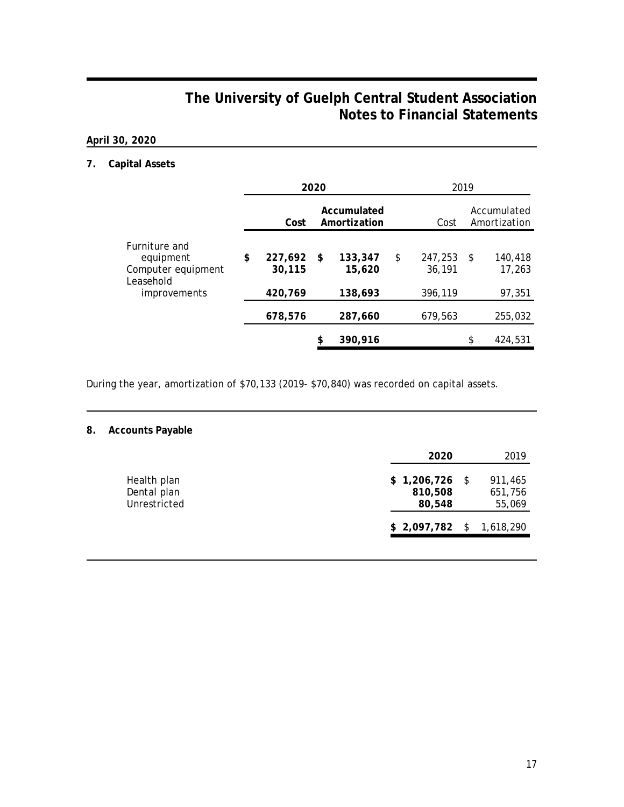### **April 30, 2020**

### **7. Capital Assets**

|                                                               |                         | 2020 |                             | 2019 |                   |    |                             |
|---------------------------------------------------------------|-------------------------|------|-----------------------------|------|-------------------|----|-----------------------------|
|                                                               | Cost                    |      | Accumulated<br>Amortization |      | Cost              |    | Accumulated<br>Amortization |
| Furniture and<br>equipment<br>Computer equipment<br>Leasehold | \$<br>227,692<br>30,115 | - \$ | 133,347<br>15,620           | \$   | 247,253<br>36,191 | -S | 140,418<br>17,263           |
| improvements                                                  | 420,769                 |      | 138,693                     |      | 396.119           |    | 97.351                      |
|                                                               | 678.576                 |      | 287.660                     |      | 679,563           |    | 255,032                     |
|                                                               |                         | \$   | 390,916                     |      |                   | \$ | 424,531                     |

During the year, amortization of \$70,133 (2019- \$70,840) was recorded on capital assets.

### **8. Accounts Payable**

|                                            | 2020                                 | 2019                         |
|--------------------------------------------|--------------------------------------|------------------------------|
| Health plan<br>Dental plan<br>Unrestricted | $$1,206,726$ \$<br>810,508<br>80,548 | 911,465<br>651,756<br>55,069 |
|                                            | $$2,097,782$ $$1,618,290$            |                              |
|                                            |                                      |                              |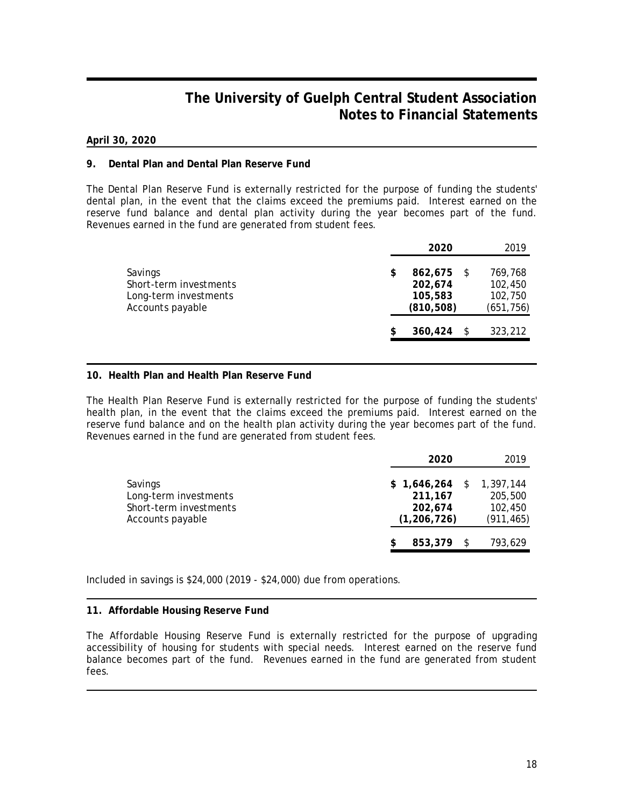#### **April 30, 2020**

#### **9. Dental Plan and Dental Plan Reserve Fund**

The Dental Plan Reserve Fund is externally restricted for the purpose of funding the students' dental plan, in the event that the claims exceed the premiums paid. Interest earned on the reserve fund balance and dental plan activity during the year becomes part of the fund. Revenues earned in the fund are generated from student fees.

|                                                                                | 2020                                                 | 2019                                        |
|--------------------------------------------------------------------------------|------------------------------------------------------|---------------------------------------------|
| Savings<br>Short-term investments<br>Long-term investments<br>Accounts payable | \$<br>862.675 \$<br>202,674<br>105,583<br>(810, 508) | 769.768<br>102,450<br>102,750<br>(651, 756) |
|                                                                                | 360.424                                              | 323,212                                     |

#### **10. Health Plan and Health Plan Reserve Fund**

The Health Plan Reserve Fund is externally restricted for the purpose of funding the students' health plan, in the event that the claims exceed the premiums paid. Interest earned on the reserve fund balance and on the health plan activity during the year becomes part of the fund. Revenues earned in the fund are generated from student fees.

|                                                                                | 2020                                                   | 2019                                          |
|--------------------------------------------------------------------------------|--------------------------------------------------------|-----------------------------------------------|
| Savings<br>Long-term investments<br>Short-term investments<br>Accounts payable | $$1,646,264$ \$<br>211,167<br>202.674<br>(1, 206, 726) | 1,397,144<br>205,500<br>102,450<br>(911, 465) |
|                                                                                | 853,379                                                | 793.629                                       |

Included in savings is \$24,000 (2019 - \$24,000) due from operations.

#### **11. Affordable Housing Reserve Fund**

The Affordable Housing Reserve Fund is externally restricted for the purpose of upgrading accessibility of housing for students with special needs. Interest earned on the reserve fund balance becomes part of the fund. Revenues earned in the fund are generated from student fees.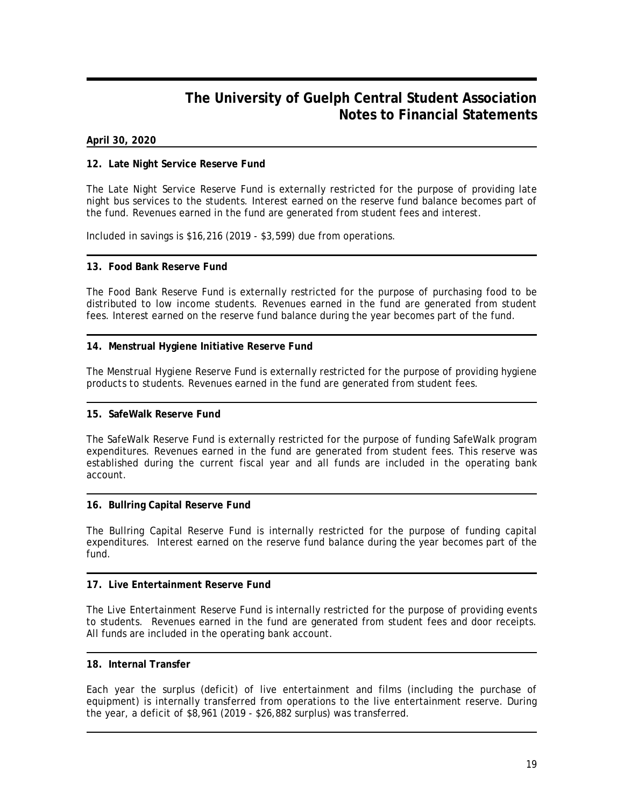#### **April 30, 2020**

**12. Late Night Service Reserve Fund**

The Late Night Service Reserve Fund is externally restricted for the purpose of providing late night bus services to the students. Interest earned on the reserve fund balance becomes part of the fund. Revenues earned in the fund are generated from student fees and interest.

Included in savings is \$16,216 (2019 - \$3,599) due from operations.

**13. Food Bank Reserve Fund**

The Food Bank Reserve Fund is externally restricted for the purpose of purchasing food to be distributed to low income students. Revenues earned in the fund are generated from student fees. Interest earned on the reserve fund balance during the year becomes part of the fund.

**14. Menstrual Hygiene Initiative Reserve Fund**

The Menstrual Hygiene Reserve Fund is externally restricted for the purpose of providing hygiene products to students. Revenues earned in the fund are generated from student fees.

#### **15. SafeWalk Reserve Fund**

The SafeWalk Reserve Fund is externally restricted for the purpose of funding SafeWalk program expenditures. Revenues earned in the fund are generated from student fees. This reserve was established during the current fiscal year and all funds are included in the operating bank account.

**16. Bullring Capital Reserve Fund**

The Bullring Capital Reserve Fund is internally restricted for the purpose of funding capital expenditures. Interest earned on the reserve fund balance during the year becomes part of the fund.

**17. Live Entertainment Reserve Fund**

The Live Entertainment Reserve Fund is internally restricted for the purpose of providing events to students. Revenues earned in the fund are generated from student fees and door receipts. All funds are included in the operating bank account.

#### **18. Internal Transfer**

Each year the surplus (deficit) of live entertainment and films (including the purchase of equipment) is internally transferred from operations to the live entertainment reserve. During the year, a deficit of \$8,961 (2019 - \$26,882 surplus) was transferred.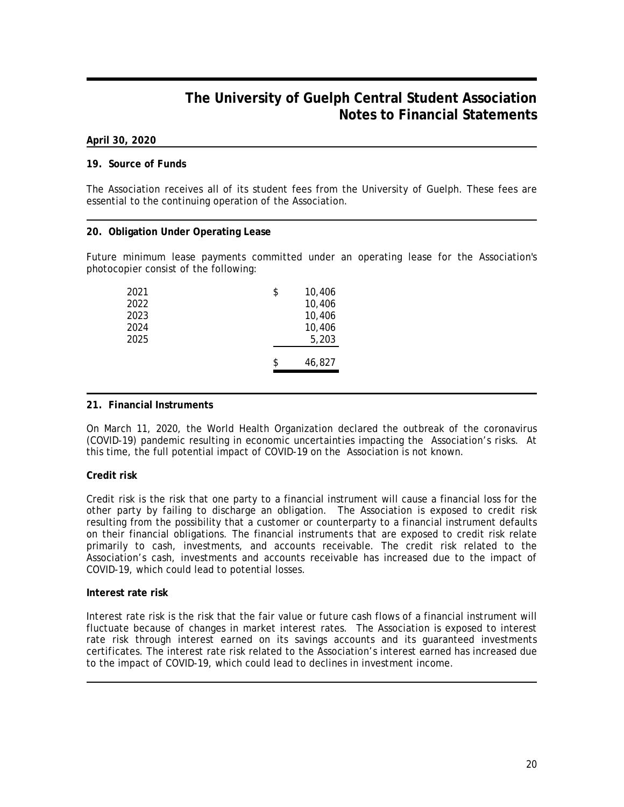#### **April 30, 2020**

#### **19. Source of Funds**

The Association receives all of its student fees from the University of Guelph. These fees are essential to the continuing operation of the Association.

#### **20. Obligation Under Operating Lease**

Future minimum lease payments committed under an operating lease for the Association's photocopier consist of the following:

| 2021<br>2022 | \$<br>10,406<br>10,406 |
|--------------|------------------------|
| 2023         | 10,406                 |
| 2024         | 10,406                 |
| 2025         | 5,203                  |
|              |                        |
|              | \$<br>46,827           |
|              |                        |

#### **21. Financial Instruments**

On March 11, 2020, the World Health Organization declared the outbreak of the coronavirus (COVID-19) pandemic resulting in economic uncertainties impacting the Association's risks. At this time, the full potential impact of COVID-19 on the Association is not known.

#### **Credit risk**

Credit risk is the risk that one party to a financial instrument will cause a financial loss for the other party by failing to discharge an obligation. The Association is exposed to credit risk resulting from the possibility that a customer or counterparty to a financial instrument defaults on their financial obligations. The financial instruments that are exposed to credit risk relate primarily to cash, investments, and accounts receivable. The credit risk related to the Association's cash, investments and accounts receivable has increased due to the impact of COVID-19, which could lead to potential losses.

#### **Interest rate risk**

Interest rate risk is the risk that the fair value or future cash flows of a financial instrument will fluctuate because of changes in market interest rates. The Association is exposed to interest rate risk through interest earned on its savings accounts and its guaranteed investments certificates. The interest rate risk related to the Association's interest earned has increased due to the impact of COVID-19, which could lead to declines in investment income.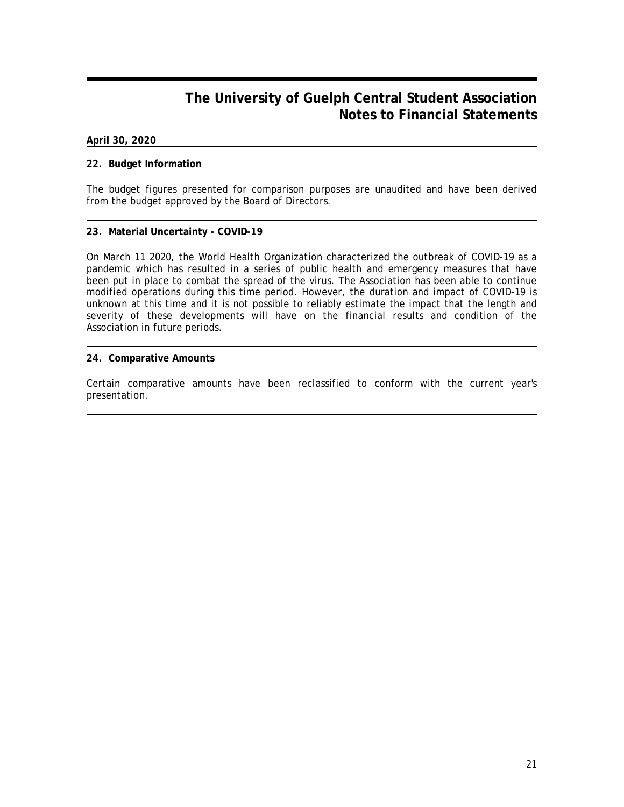#### **April 30, 2020**

#### **22. Budget Information**

The budget figures presented for comparison purposes are unaudited and have been derived from the budget approved by the Board of Directors.

**23. Material Uncertainty - COVID-19**

On March 11 2020, the World Health Organization characterized the outbreak of COVID-19 as a pandemic which has resulted in a series of public health and emergency measures that have been put in place to combat the spread of the virus. The Association has been able to continue modified operations during this time period. However, the duration and impact of COVID-19 is unknown at this time and it is not possible to reliably estimate the impact that the length and severity of these developments will have on the financial results and condition of the Association in future periods.

#### **24. Comparative Amounts**

Certain comparative amounts have been reclassified to conform with the current year's presentation.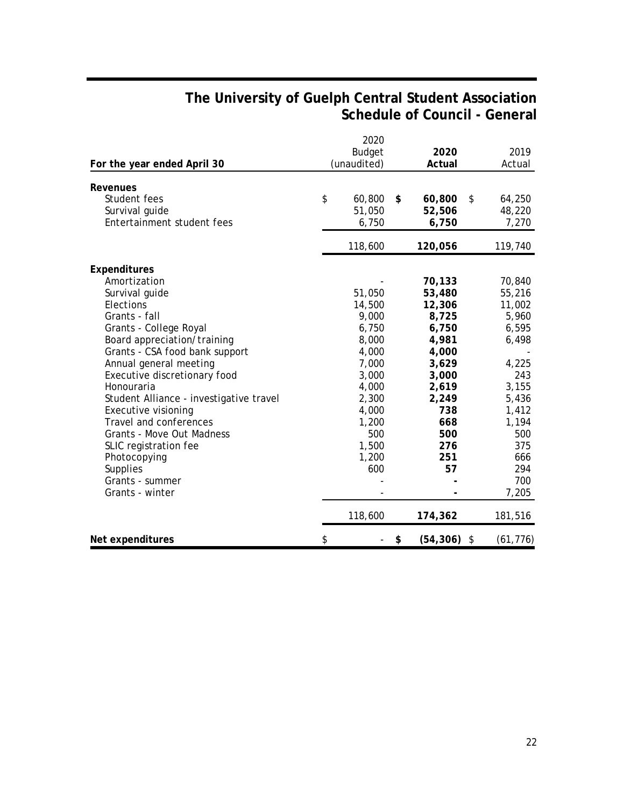### **The University of Guelph Central Student Association Schedule of Council - General**

|                                                              | 2020<br><b>Budget</b>     | 2020                            |     | 2019                      |
|--------------------------------------------------------------|---------------------------|---------------------------------|-----|---------------------------|
| For the year ended April 30                                  | (unaudited)               | Actual                          |     | Actual                    |
| Revenues                                                     | \$                        |                                 |     |                           |
| Student fees<br>Survival guide<br>Entertainment student fees | 60,800<br>51,050<br>6,750 | \$<br>60,800<br>52,506<br>6,750 | \$  | 64,250<br>48,220<br>7,270 |
|                                                              | 118,600                   | 120,056                         |     | 119,740                   |
| Expenditures                                                 |                           |                                 |     |                           |
| Amortization                                                 |                           | 70,133                          |     | 70,840                    |
| Survival guide                                               | 51,050                    | 53,480                          |     | 55,216                    |
| Elections                                                    | 14,500                    | 12,306                          |     | 11,002                    |
| Grants - fall                                                | 9,000                     | 8,725                           |     | 5,960                     |
| Grants - College Royal                                       | 6,750                     | 6,750                           |     | 6,595                     |
| Board appreciation/training                                  | 8,000                     | 4,981                           |     | 6,498                     |
| Grants - CSA food bank support                               | 4,000                     | 4,000                           |     |                           |
| Annual general meeting                                       | 7,000                     | 3,629                           |     | 4,225                     |
| Executive discretionary food                                 | 3,000                     | 3,000                           |     | 243                       |
| Honouraria                                                   | 4,000                     | 2,619                           |     | 3,155                     |
| Student Alliance - investigative travel                      | 2,300                     | 2,249                           |     | 5,436                     |
| Executive visioning<br>Travel and conferences                | 4,000<br>1,200            | 738<br>668                      |     | 1,412<br>1,194            |
| Grants - Move Out Madness                                    | 500                       | 500                             |     | 500                       |
| SLIC registration fee                                        | 1,500                     | 276                             |     | 375                       |
| Photocopying                                                 | 1,200                     | 251                             |     | 666                       |
| Supplies                                                     | 600                       | 57                              |     | 294                       |
| Grants - summer                                              |                           |                                 |     | 700                       |
| Grants - winter                                              |                           |                                 |     | 7,205                     |
|                                                              | 118,600                   | 174,362                         |     | 181,516                   |
| Net expenditures                                             | \$                        | \$<br>(54, 306)                 | -\$ | (61, 776)                 |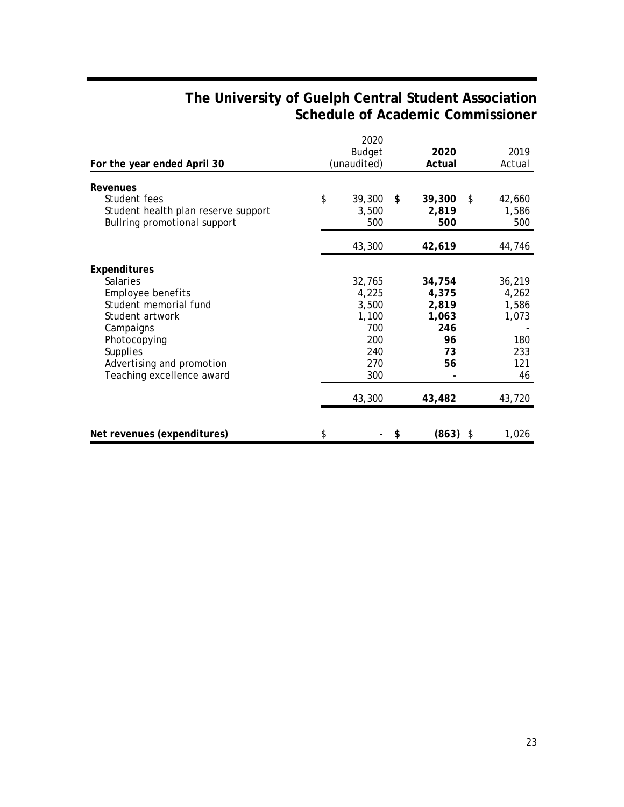### **The University of Guelph Central Student Association Schedule of Academic Commissioner**

| For the year ended April 30                                                                                                                                                                         |    | 2020<br>Budget<br>(unaudited)                                        |    |                                                            | 2019<br>Actual                                               |
|-----------------------------------------------------------------------------------------------------------------------------------------------------------------------------------------------------|----|----------------------------------------------------------------------|----|------------------------------------------------------------|--------------------------------------------------------------|
| Revenues<br>Student fees<br>Student health plan reserve support<br>Bullring promotional support                                                                                                     | \$ | 39,300<br>3,500<br>500                                               | \$ | 39,300<br>2,819<br>500                                     | \$<br>42,660<br>1,586<br>500                                 |
|                                                                                                                                                                                                     |    | 43,300                                                               |    | 42,619                                                     | 44,746                                                       |
| Expenditures<br>Salaries<br>Employee benefits<br>Student memorial fund<br>Student artwork<br>Campaigns<br>Photocopying<br><b>Supplies</b><br>Advertising and promotion<br>Teaching excellence award |    | 32,765<br>4,225<br>3,500<br>1,100<br>700<br>200<br>240<br>270<br>300 |    | 34,754<br>4,375<br>2,819<br>1,063<br>246<br>96<br>73<br>56 | 36,219<br>4,262<br>1,586<br>1,073<br>180<br>233<br>121<br>46 |
|                                                                                                                                                                                                     |    | 43,300                                                               |    | 43,482                                                     | 43,720                                                       |
| Net revenues (expenditures)                                                                                                                                                                         | \$ |                                                                      | \$ | (863)                                                      | \$<br>1,026                                                  |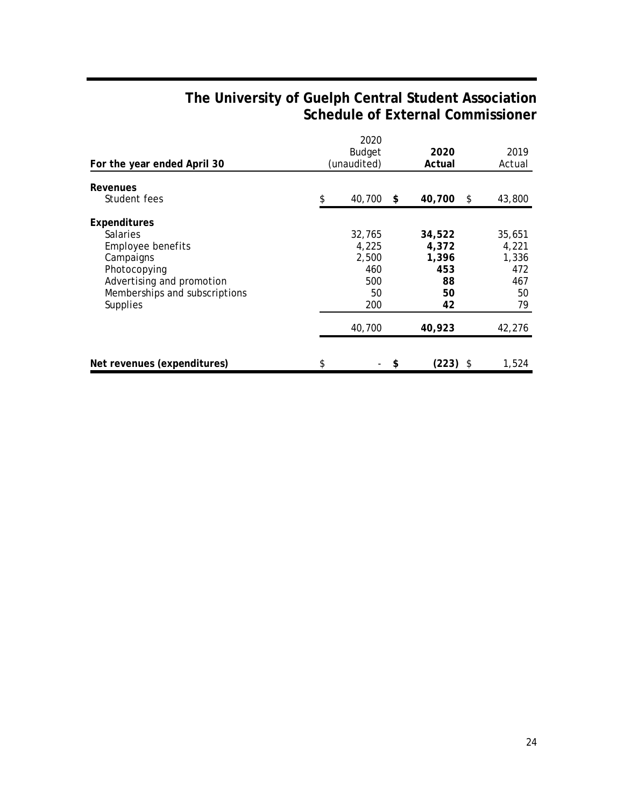### **The University of Guelph Central Student Association Schedule of External Commissioner**

| For the year ended April 30                                                                                                                          | 2020<br>Budget<br>(unaudited) |                                                     |    | 2020<br>Actual                                    |      | 2019<br>Actual                                     |
|------------------------------------------------------------------------------------------------------------------------------------------------------|-------------------------------|-----------------------------------------------------|----|---------------------------------------------------|------|----------------------------------------------------|
| Revenues<br>Student fees                                                                                                                             |                               | 40,700                                              | \$ | 40,700                                            | \$   | 43,800                                             |
| Expenditures<br>Salaries<br>Employee benefits<br>Campaigns<br>Photocopying<br>Advertising and promotion<br>Memberships and subscriptions<br>Supplies |                               | 32,765<br>4,225<br>2,500<br>460<br>500<br>50<br>200 |    | 34,522<br>4,372<br>1,396<br>453<br>88<br>50<br>42 |      | 35,651<br>4,221<br>1,336<br>472<br>467<br>50<br>79 |
|                                                                                                                                                      |                               | 40,700                                              |    | 40,923                                            |      | 42,276                                             |
| Net revenues (expenditures)                                                                                                                          | \$                            |                                                     | \$ | (223)                                             | - \$ | 1,524                                              |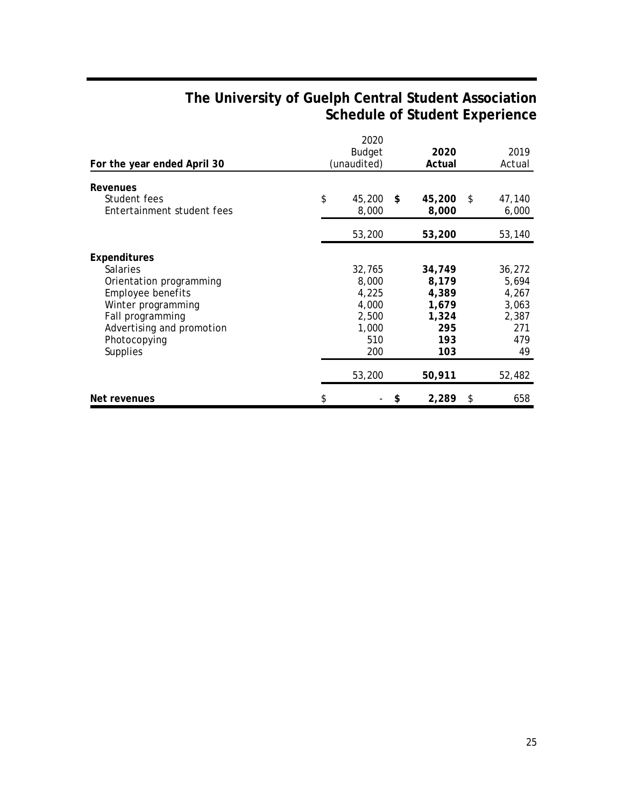## **The University of Guelph Central Student Association Schedule of Student Experience**

| For the year ended April 30                                                                                                                                                               |    | 2020<br>Budget<br>(unaudited)                                     |    | 2020<br>Actual                                                  | 2019<br>Actual                                                 |
|-------------------------------------------------------------------------------------------------------------------------------------------------------------------------------------------|----|-------------------------------------------------------------------|----|-----------------------------------------------------------------|----------------------------------------------------------------|
| Revenues<br>Student fees<br>Entertainment student fees                                                                                                                                    | \$ | 45,200<br>8,000                                                   | \$ | 45,200<br>8,000                                                 | \$<br>47,140<br>6,000                                          |
|                                                                                                                                                                                           |    | 53,200                                                            |    | 53,200                                                          | 53,140                                                         |
| Expenditures<br><b>Salaries</b><br>Orientation programming<br>Employee benefits<br>Winter programming<br>Fall programming<br>Advertising and promotion<br>Photocopying<br><b>Supplies</b> |    | 32,765<br>8,000<br>4,225<br>4,000<br>2,500<br>1,000<br>510<br>200 |    | 34,749<br>8,179<br>4,389<br>1,679<br>1,324<br>295<br>193<br>103 | 36,272<br>5,694<br>4,267<br>3,063<br>2,387<br>271<br>479<br>49 |
|                                                                                                                                                                                           |    | 53,200                                                            |    | 50,911                                                          | 52,482                                                         |
| Net revenues                                                                                                                                                                              | \$ |                                                                   | \$ | 2,289                                                           | \$<br>658                                                      |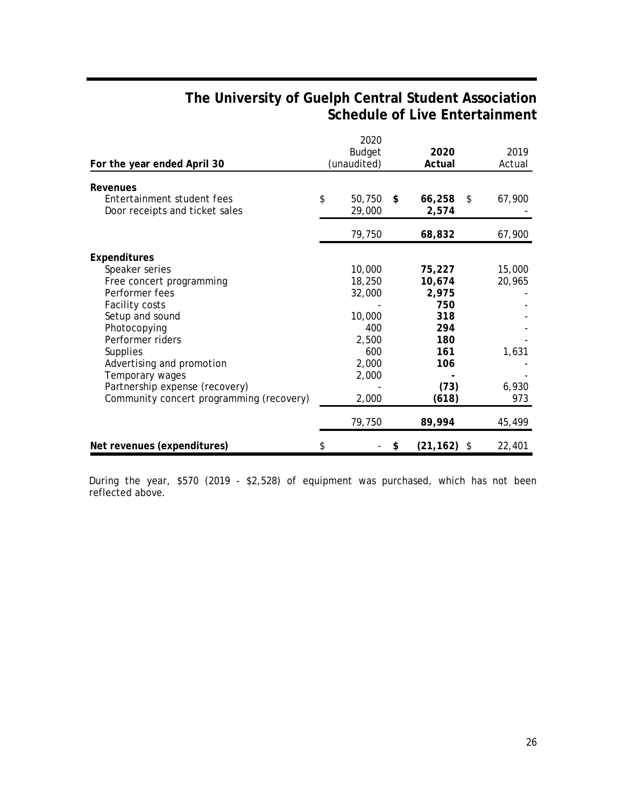## **The University of Guelph Central Student Association Schedule of Live Entertainment**

| For the year ended April 30                                                                                                                                                                                                                                                                            |    | 2020<br><b>Budget</b><br>(unaudited)                                                   |    | 2020<br>Actual                                                                       | 2019<br>Actual                            |  |
|--------------------------------------------------------------------------------------------------------------------------------------------------------------------------------------------------------------------------------------------------------------------------------------------------------|----|----------------------------------------------------------------------------------------|----|--------------------------------------------------------------------------------------|-------------------------------------------|--|
| Revenues<br>Entertainment student fees<br>Door receipts and ticket sales                                                                                                                                                                                                                               | \$ | 50,750<br>29,000                                                                       | \$ | 66,258<br>2,574                                                                      | \$<br>67,900                              |  |
|                                                                                                                                                                                                                                                                                                        |    | 79,750                                                                                 |    | 68,832                                                                               | 67,900                                    |  |
| Expenditures<br>Speaker series<br>Free concert programming<br>Performer fees<br>Facility costs<br>Setup and sound<br>Photocopying<br>Performer riders<br><b>Supplies</b><br>Advertising and promotion<br>Temporary wages<br>Partnership expense (recovery)<br>Community concert programming (recovery) |    | 10,000<br>18,250<br>32,000<br>10,000<br>400<br>2,500<br>600<br>2,000<br>2,000<br>2,000 |    | 75,227<br>10,674<br>2,975<br>750<br>318<br>294<br>180<br>161<br>106<br>(73)<br>(618) | 15,000<br>20,965<br>1,631<br>6,930<br>973 |  |
|                                                                                                                                                                                                                                                                                                        |    | 79,750                                                                                 |    | 89,994                                                                               | 45,499                                    |  |
| Net revenues (expenditures)                                                                                                                                                                                                                                                                            | \$ |                                                                                        | \$ | $(21, 162)$ \$                                                                       | 22,401                                    |  |

During the year, \$570 (2019 - \$2,528) of equipment was purchased, which has not been reflected above.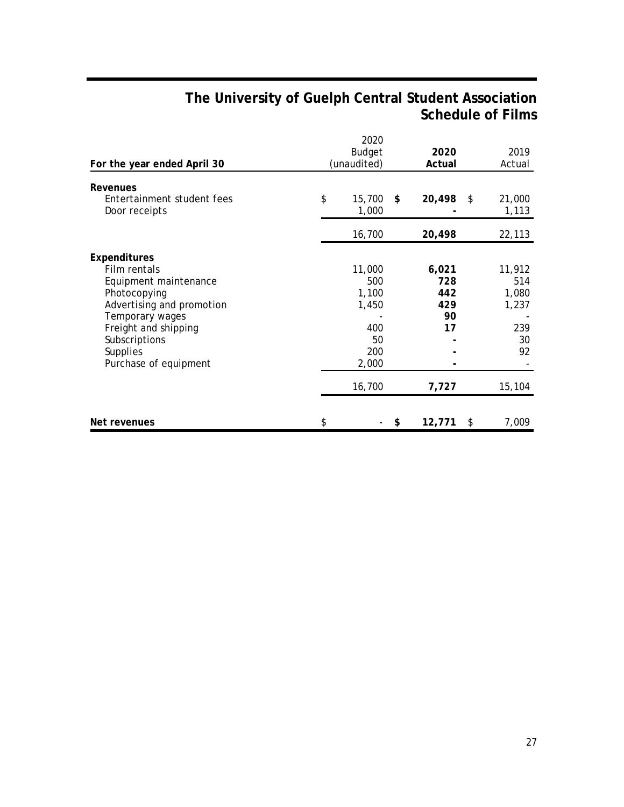## **The University of Guelph Central Student Association Schedule of Films**

| For the year ended April 30                                                                                                                                                                         | 2020<br>Budget<br>(unaudited)                                | 2020<br>Actual                         |    | 2019<br>Actual                                     |
|-----------------------------------------------------------------------------------------------------------------------------------------------------------------------------------------------------|--------------------------------------------------------------|----------------------------------------|----|----------------------------------------------------|
| Revenues<br>Entertainment student fees<br>Door receipts                                                                                                                                             | \$<br>15,700<br>\$<br>1,000                                  | 20,498                                 | \$ | 21,000<br>1,113                                    |
|                                                                                                                                                                                                     | 16,700                                                       | 20,498                                 |    | 22,113                                             |
| Expenditures<br>Film rentals<br>Equipment maintenance<br>Photocopying<br>Advertising and promotion<br>Temporary wages<br>Freight and shipping<br>Subscriptions<br>Supplies<br>Purchase of equipment | 11,000<br>500<br>1,100<br>1,450<br>400<br>50<br>200<br>2,000 | 6,021<br>728<br>442<br>429<br>90<br>17 |    | 11,912<br>514<br>1,080<br>1,237<br>239<br>30<br>92 |
|                                                                                                                                                                                                     | 16,700                                                       | 7,727                                  |    | 15,104                                             |
| Net revenues                                                                                                                                                                                        | \$<br>\$                                                     | 12,771                                 | \$ | 7,009                                              |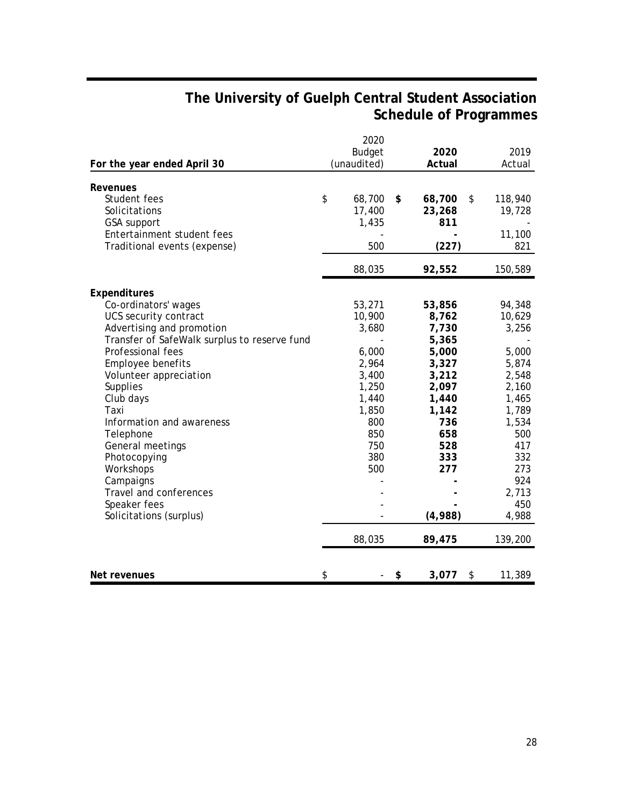## **The University of Guelph Central Student Association Schedule of Programmes**

| For the year ended April 30                                                                                                                                                                                                                                                                                                                                                                                                  | 2020<br><b>Budget</b><br>(unaudited)                                                                                         | 2020<br>Actual                                                                                                                                  | 2019<br>Actual                                                                                                                                                  |
|------------------------------------------------------------------------------------------------------------------------------------------------------------------------------------------------------------------------------------------------------------------------------------------------------------------------------------------------------------------------------------------------------------------------------|------------------------------------------------------------------------------------------------------------------------------|-------------------------------------------------------------------------------------------------------------------------------------------------|-----------------------------------------------------------------------------------------------------------------------------------------------------------------|
| Revenues<br>Student fees<br>Solicitations<br>GSA support<br>Entertainment student fees<br>Traditional events (expense)                                                                                                                                                                                                                                                                                                       | \$<br>68,700<br>17,400<br>1,435<br>500<br>88,035                                                                             | \$<br>68,700<br>23,268<br>811<br>(227)<br>92,552                                                                                                | \$<br>118,940<br>19,728<br>11,100<br>821<br>150,589                                                                                                             |
| Expenditures<br>Co-ordinators' wages<br>UCS security contract<br>Advertising and promotion<br>Transfer of SafeWalk surplus to reserve fund<br>Professional fees<br>Employee benefits<br>Volunteer appreciation<br>Supplies<br>Club days<br>Taxi<br>Information and awareness<br>Telephone<br>General meetings<br>Photocopying<br>Workshops<br>Campaigns<br>Travel and conferences<br>Speaker fees<br>Solicitations (surplus) | 53,271<br>10,900<br>3,680<br>6,000<br>2,964<br>3,400<br>1,250<br>1,440<br>1,850<br>800<br>850<br>750<br>380<br>500<br>88,035 | 53,856<br>8,762<br>7,730<br>5,365<br>5,000<br>3,327<br>3,212<br>2,097<br>1,440<br>1,142<br>736<br>658<br>528<br>333<br>277<br>(4,988)<br>89,475 | 94,348<br>10,629<br>3,256<br>5,000<br>5,874<br>2,548<br>2,160<br>1,465<br>1,789<br>1,534<br>500<br>417<br>332<br>273<br>924<br>2,713<br>450<br>4,988<br>139,200 |
| Net revenues                                                                                                                                                                                                                                                                                                                                                                                                                 | \$                                                                                                                           | \$<br>3,077                                                                                                                                     | \$<br>11,389                                                                                                                                                    |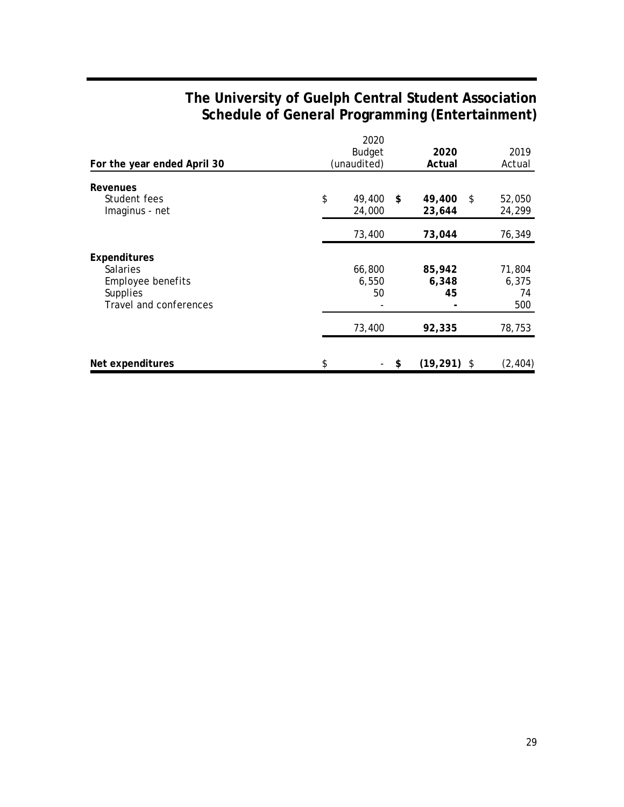# **The University of Guelph Central Student Association Schedule of General Programming (Entertainment)**

|                             | 2020          |             |    |                |      |          |
|-----------------------------|---------------|-------------|----|----------------|------|----------|
|                             | <b>Budget</b> |             |    | 2020           |      | 2019     |
| For the year ended April 30 |               | (unaudited) |    | Actual         |      | Actual   |
| Revenues                    |               |             |    |                |      |          |
| Student fees                | \$            | 49,400      | \$ | 49,400         | - \$ | 52,050   |
| Imaginus - net              |               | 24,000      |    | 23,644         |      | 24,299   |
|                             |               | 73,400      |    | 73,044         |      | 76,349   |
|                             |               |             |    |                |      |          |
| Expenditures                |               |             |    |                |      |          |
| <b>Salaries</b>             |               | 66,800      |    | 85,942         |      | 71,804   |
| Employee benefits           |               | 6,550       |    | 6,348          |      | 6,375    |
| <b>Supplies</b>             |               | 50          |    | 45             |      | 74       |
| Travel and conferences      |               |             |    |                |      | 500      |
|                             |               | 73,400      |    | 92,335         |      | 78,753   |
|                             |               |             |    |                |      |          |
| Net expenditures            | \$            |             | \$ | $(19, 291)$ \$ |      | (2, 404) |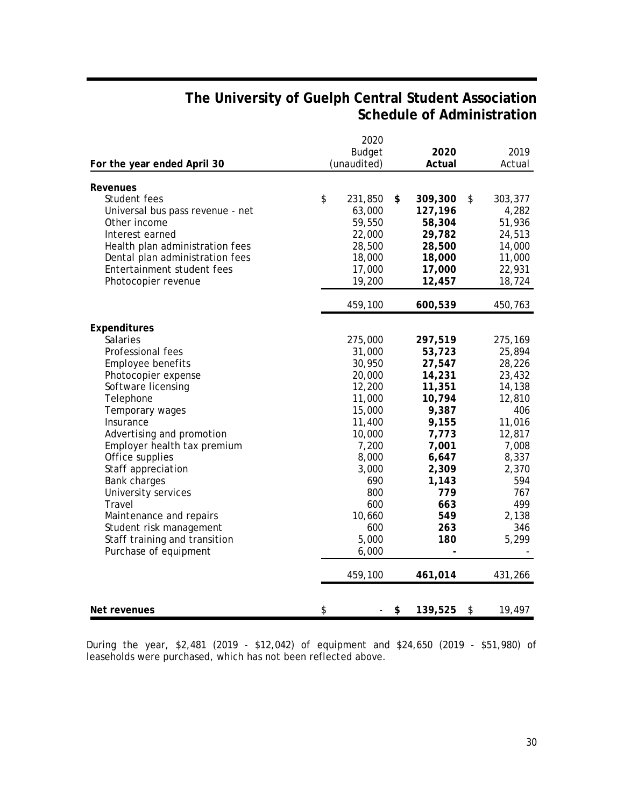# **The University of Guelph Central Student Association Schedule of Administration**

|                                                               | 2020             |                  |                  |
|---------------------------------------------------------------|------------------|------------------|------------------|
|                                                               | <b>Budget</b>    | 2020             | 2019             |
| For the year ended April 30                                   | (unaudited)      | Actual           | Actual           |
| Revenues<br>Student fees                                      | \$<br>231,850    | \$<br>309,300    | \$<br>303,377    |
| Universal bus pass revenue - net                              | 63,000           | 127,196          | 4,282            |
| Other income                                                  | 59,550           | 58,304           | 51,936           |
| Interest earned                                               | 22,000           | 29,782           | 24,513           |
| Health plan administration fees                               | 28,500<br>18,000 | 28,500<br>18,000 | 14,000<br>11,000 |
| Dental plan administration fees<br>Entertainment student fees | 17,000           | 17,000           | 22,931           |
| Photocopier revenue                                           | 19,200           | 12,457           | 18,724           |
|                                                               |                  |                  |                  |
|                                                               | 459,100          | 600,539          | 450,763          |
| Expenditures                                                  |                  |                  |                  |
| Salaries                                                      | 275,000          | 297,519          | 275,169          |
| Professional fees                                             | 31,000           | 53,723           | 25,894           |
| Employee benefits                                             | 30,950           | 27,547           | 28,226           |
| Photocopier expense                                           | 20,000           | 14,231           | 23,432           |
| Software licensing                                            | 12,200           | 11,351           | 14,138           |
| Telephone                                                     | 11,000           | 10,794           | 12,810           |
| Temporary wages<br>Insurance                                  | 15,000<br>11,400 | 9,387<br>9,155   | 406<br>11,016    |
| Advertising and promotion                                     | 10,000           | 7,773            | 12,817           |
| Employer health tax premium                                   | 7,200            | 7,001            | 7,008            |
| Office supplies                                               | 8,000            | 6,647            | 8,337            |
| Staff appreciation                                            | 3,000            | 2,309            | 2,370            |
| Bank charges                                                  | 690              | 1,143            | 594              |
| University services                                           | 800              | 779              | 767              |
| Travel                                                        | 600              | 663              | 499              |
| Maintenance and repairs                                       | 10,660           | 549              | 2,138            |
| Student risk management                                       | 600              | 263              | 346              |
| Staff training and transition                                 | 5,000            | 180              | 5,299            |
| Purchase of equipment                                         | 6,000            |                  |                  |
|                                                               | 459,100          | 461,014          | 431,266          |
|                                                               |                  |                  |                  |
| Net revenues                                                  | \$               | \$<br>139,525    | \$<br>19,497     |

During the year, \$2,481 (2019 - \$12,042) of equipment and \$24,650 (2019 - \$51,980) of leaseholds were purchased, which has not been reflected above.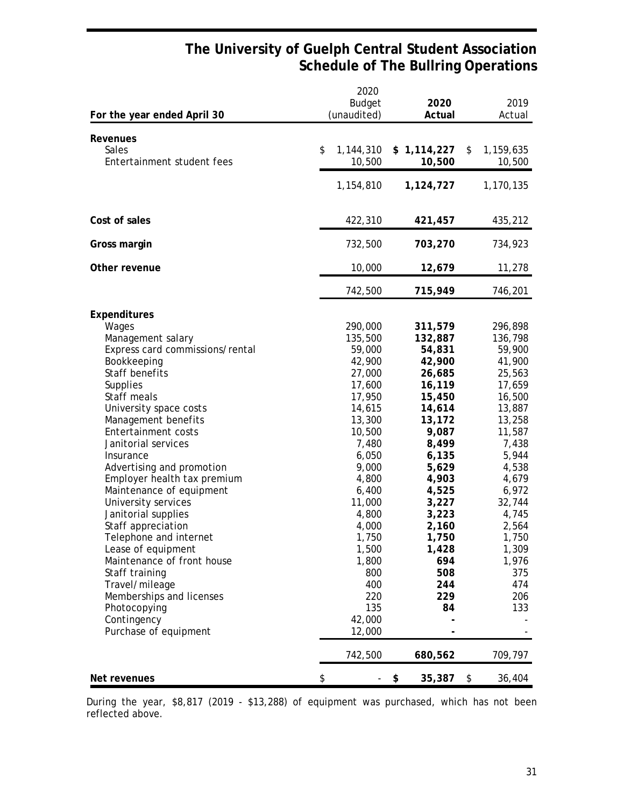# **The University of Guelph Central Student Association Schedule of The Bullring Operations**

| For the year ended April 30                                                                                                                                                                                                                                                                                                                          | 2020<br><b>Budget</b><br>(unaudited)                                                                                                                      | 2020<br>Actual                                                                                                                                          | 2019<br>Actual                                                                                                                                            |
|------------------------------------------------------------------------------------------------------------------------------------------------------------------------------------------------------------------------------------------------------------------------------------------------------------------------------------------------------|-----------------------------------------------------------------------------------------------------------------------------------------------------------|---------------------------------------------------------------------------------------------------------------------------------------------------------|-----------------------------------------------------------------------------------------------------------------------------------------------------------|
| Revenues<br>Sales<br>Entertainment student fees                                                                                                                                                                                                                                                                                                      | \$<br>1,144,310<br>10,500                                                                                                                                 | \$1,114,227<br>10,500                                                                                                                                   | \$<br>1,159,635<br>10,500                                                                                                                                 |
|                                                                                                                                                                                                                                                                                                                                                      | 1,154,810                                                                                                                                                 | 1,124,727                                                                                                                                               | 1,170,135                                                                                                                                                 |
| Cost of sales                                                                                                                                                                                                                                                                                                                                        | 422,310                                                                                                                                                   | 421,457                                                                                                                                                 | 435,212                                                                                                                                                   |
| Gross margin                                                                                                                                                                                                                                                                                                                                         | 732,500                                                                                                                                                   | 703,270                                                                                                                                                 | 734,923                                                                                                                                                   |
| Other revenue                                                                                                                                                                                                                                                                                                                                        | 10,000                                                                                                                                                    | 12,679                                                                                                                                                  | 11,278                                                                                                                                                    |
|                                                                                                                                                                                                                                                                                                                                                      | 742,500                                                                                                                                                   | 715,949                                                                                                                                                 | 746,201                                                                                                                                                   |
| Wages<br>Management salary<br>Express card commissions/rental<br>Bookkeeping<br>Staff benefits<br>Supplies<br>Staff meals<br>University space costs<br>Management benefits<br>Entertainment costs<br>Janitorial services<br>Insurance<br>Advertising and promotion<br>Employer health tax premium<br>Maintenance of equipment<br>University services | 290,000<br>135,500<br>59,000<br>42,900<br>27,000<br>17,600<br>17,950<br>14,615<br>13,300<br>10,500<br>7,480<br>6,050<br>9,000<br>4,800<br>6,400<br>11,000 | 311,579<br>132,887<br>54,831<br>42,900<br>26,685<br>16,119<br>15,450<br>14,614<br>13,172<br>9,087<br>8,499<br>6,135<br>5,629<br>4,903<br>4,525<br>3,227 | 296,898<br>136,798<br>59,900<br>41,900<br>25,563<br>17,659<br>16,500<br>13,887<br>13,258<br>11,587<br>7,438<br>5,944<br>4,538<br>4,679<br>6,972<br>32,744 |
| Janitorial supplies<br>Staff appreciation<br>Telephone and internet<br>Lease of equipment<br>Maintenance of front house<br>Staff training<br>Travel/mileage<br>Memberships and licenses<br>Photocopying<br>Contingency<br>Purchase of equipment                                                                                                      | 4,800<br>4,000<br>1,750<br>1,500<br>1,800<br>800<br>400<br>220<br>135<br>42,000<br>12,000<br>742,500                                                      | 3,223<br>2,160<br>1,750<br>1,428<br>694<br>508<br>244<br>229<br>84<br>680,562                                                                           | 4,745<br>2,564<br>1,750<br>1,309<br>1,976<br>375<br>474<br>206<br>133<br>709,797                                                                          |
| Net revenues                                                                                                                                                                                                                                                                                                                                         | \$                                                                                                                                                        | \$<br>35,387                                                                                                                                            | \$<br>36,404                                                                                                                                              |

During the year, \$8,817 (2019 - \$13,288) of equipment was purchased, which has not been reflected above.